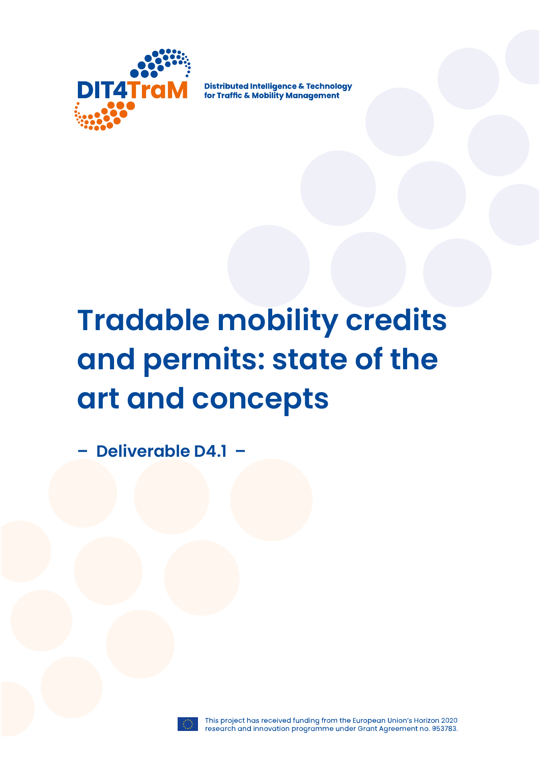

**Distributed Intelligence & Technology** for Traffic & Mobility Management

# **Tradable mobility credits and permits: state of the art and concepts**

**– Deliverable D4.1 –**



This project has received funding from the European Union's Horizon 2020 research and innovation programme under Grant Agreement no. 953783.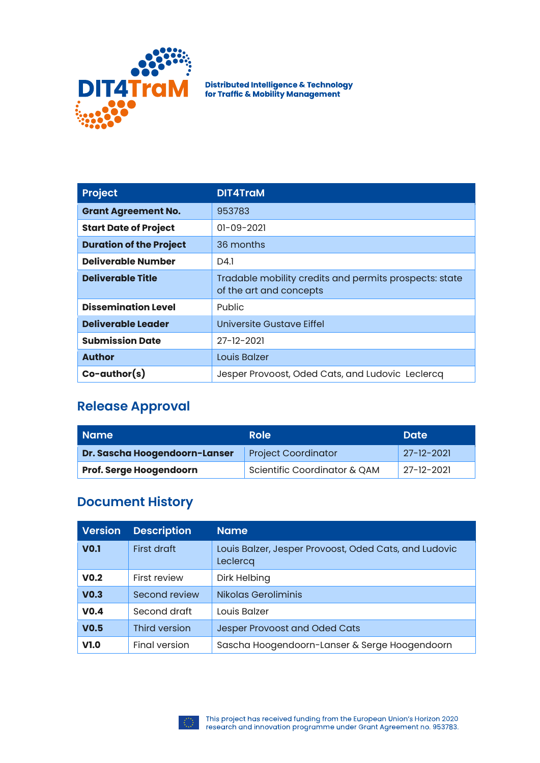

Distributed Intelligence & Technology<br>for Traffic & Mobility Management

| <b>Project</b>                 | <b>DIT4TraM</b>                                                                   |
|--------------------------------|-----------------------------------------------------------------------------------|
| <b>Grant Agreement No.</b>     | 953783                                                                            |
| <b>Start Date of Project</b>   | $01 - 09 - 2021$                                                                  |
| <b>Duration of the Project</b> | 36 months                                                                         |
| Deliverable Number             | D4.1                                                                              |
| <b>Deliverable Title</b>       | Tradable mobility credits and permits prospects: state<br>of the art and concepts |
| <b>Dissemination Level</b>     | <b>Public</b>                                                                     |
| Deliverable Leader             | Universite Gustave Eiffel                                                         |
| <b>Submission Date</b>         | $27 - 12 - 2021$                                                                  |
| <b>Author</b>                  | Louis Balzer                                                                      |
| $Co$ -author $(s)$             | Jesper Provoost, Oded Cats, and Ludovic Leclercq                                  |

#### **Release Approval**

| Name                           | Role                         | <b>Date</b>      |
|--------------------------------|------------------------------|------------------|
| Dr. Sascha Hoogendoorn-Lanser  | <b>Project Coordinator</b>   | $27 - 12 - 2021$ |
| <b>Prof. Serge Hoogendoorn</b> | Scientific Coordinator & QAM | $27 - 12 - 2021$ |

#### **Document History**

| <b>Version</b>   | <b>Description</b> | <b>Name</b>                                                       |
|------------------|--------------------|-------------------------------------------------------------------|
| <b>VO.1</b>      | First draft        | Louis Balzer, Jesper Provoost, Oded Cats, and Ludovic<br>Leclercq |
| V <sub>0.2</sub> | First review       | Dirk Helbing                                                      |
| V <sub>0.3</sub> | Second review      | Nikolas Geroliminis                                               |
| V <sub>0.4</sub> | Second draft       | Louis Balzer                                                      |
| V <sub>0.5</sub> | Third version      | Jesper Provoost and Oded Cats                                     |
| V1.0             | Final version      | Sascha Hoogendoorn-Lanser & Serge Hoogendoorn                     |

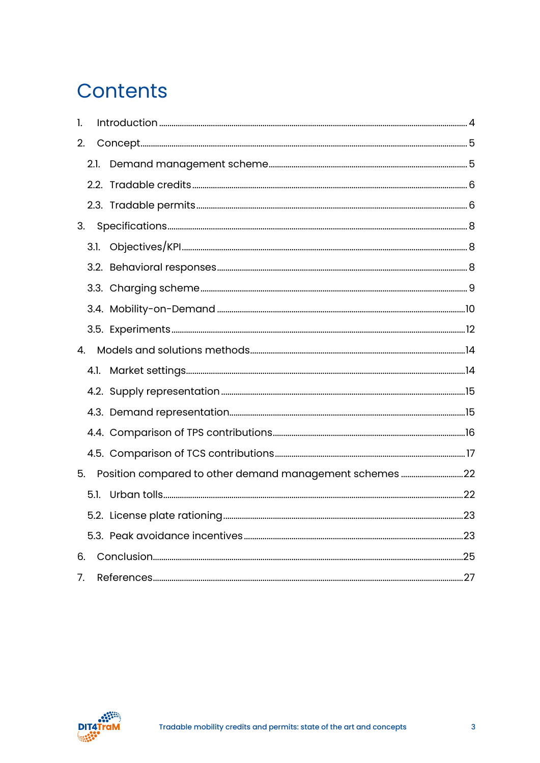### **Contents**

| 1. |      |  |
|----|------|--|
| 2. |      |  |
|    | 2.1. |  |
|    |      |  |
|    |      |  |
| 3. |      |  |
|    |      |  |
|    |      |  |
|    |      |  |
|    |      |  |
|    |      |  |
| 4. |      |  |
|    |      |  |
|    |      |  |
|    |      |  |
|    |      |  |
|    |      |  |
| 5. |      |  |
|    | 5.1. |  |
|    |      |  |
|    |      |  |
| 6. |      |  |
| 7. |      |  |

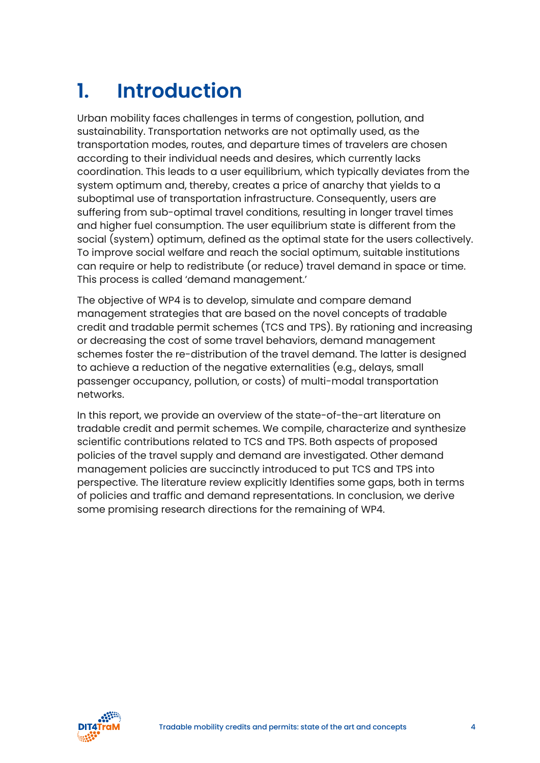## <span id="page-3-0"></span>**1. Introduction**

Urban mobility faces challenges in terms of congestion, pollution, and sustainability. Transportation networks are not optimally used, as the transportation modes, routes, and departure times of travelers are chosen according to their individual needs and desires, which currently lacks coordination. This leads to a user equilibrium, which typically deviates from the system optimum and, thereby, creates a price of anarchy that yields to a suboptimal use of transportation infrastructure. Consequently, users are suffering from sub-optimal travel conditions, resulting in longer travel times and higher fuel consumption. The user equilibrium state is different from the social (system) optimum, defined as the optimal state for the users collectively. To improve social welfare and reach the social optimum, suitable institutions can require or help to redistribute (or reduce) travel demand in space or time. This process is called 'demand management.'

The objective of WP4 is to develop, simulate and compare demand management strategies that are based on the novel concepts of tradable credit and tradable permit schemes (TCS and TPS). By rationing and increasing or decreasing the cost of some travel behaviors, demand management schemes foster the re-distribution of the travel demand. The latter is designed to achieve a reduction of the negative externalities (e.g., delays, small passenger occupancy, pollution, or costs) of multi-modal transportation networks.

In this report, we provide an overview of the state-of-the-art literature on tradable credit and permit schemes. We compile, characterize and synthesize scientific contributions related to TCS and TPS. Both aspects of proposed policies of the travel supply and demand are investigated. Other demand management policies are succinctly introduced to put TCS and TPS into perspective. The literature review explicitly Identifies some gaps, both in terms of policies and traffic and demand representations. In conclusion, we derive some promising research directions for the remaining of WP4.

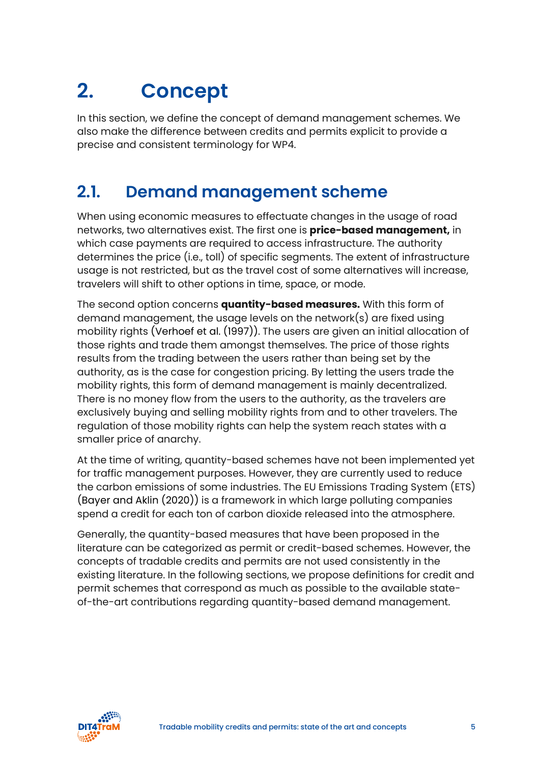# <span id="page-4-0"></span>**2. Concept**

In this section, we define the concept of demand management schemes. We also make the difference between credits and permits explicit to provide a precise and consistent terminology for WP4.

### <span id="page-4-1"></span>**2.1. Demand management scheme**

When using economic measures to effectuate changes in the usage of road networks, two alternatives exist. The first one is **price-based management,** in which case payments are required to access infrastructure. The authority determines the price (i.e., toll) of specific segments. The extent of infrastructure usage is not restricted, but as the travel cost of some alternatives will increase, travelers will shift to other options in time, space, or mode.

The second option concerns **quantity-based measures.** With this form of demand management, the usage levels on the network(s) are fixed using mobility rights (Verhoef et al. (1997)). The users are given an initial allocation of those rights and trade them amongst themselves. The price of those rights results from the trading between the users rather than being set by the authority, as is the case for congestion pricing. By letting the users trade the mobility rights, this form of demand management is mainly decentralized. There is no money flow from the users to the authority, as the travelers are exclusively buying and selling mobility rights from and to other travelers. The regulation of those mobility rights can help the system reach states with a smaller price of anarchy.

At the time of writing, quantity-based schemes have not been implemented yet for traffic management purposes. However, they are currently used to reduce the carbon emissions of some industries. The EU Emissions Trading System (ETS) (Bayer and Aklin (2020)) is a framework in which large polluting companies spend a credit for each ton of carbon dioxide released into the atmosphere.

Generally, the quantity-based measures that have been proposed in the literature can be categorized as permit or credit-based schemes. However, the concepts of tradable credits and permits are not used consistently in the existing literature. In the following sections, we propose definitions for credit and permit schemes that correspond as much as possible to the available stateof-the-art contributions regarding quantity-based demand management.

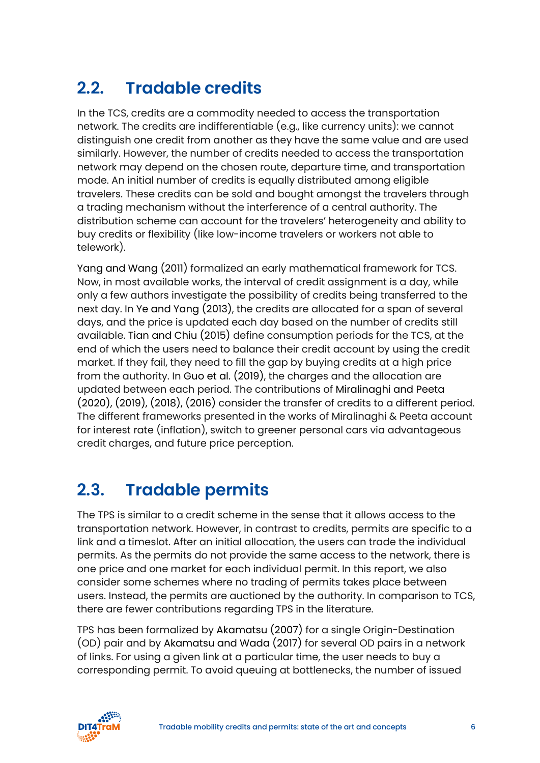### <span id="page-5-0"></span>**2.2. Tradable credits**

In the TCS, credits are a commodity needed to access the transportation network. The credits are indifferentiable (e.g., like currency units): we cannot distinguish one credit from another as they have the same value and are used similarly. However, the number of credits needed to access the transportation network may depend on the chosen route, departure time, and transportation mode. An initial number of credits is equally distributed among eligible travelers. These credits can be sold and bought amongst the travelers through a trading mechanism without the interference of a central authority. The distribution scheme can account for the travelers' heterogeneity and ability to buy credits or flexibility (like low-income travelers or workers not able to telework).

Yang and Wang (2011) formalized an early mathematical framework for TCS. Now, in most available works, the interval of credit assignment is a day, while only a few authors investigate the possibility of credits being transferred to the next day. In Ye and Yang (2013), the credits are allocated for a span of several days, and the price is updated each day based on the number of credits still available. Tian and Chiu (2015) define consumption periods for the TCS, at the end of which the users need to balance their credit account by using the credit market. If they fail, they need to fill the gap by buying credits at a high price from the authority. In Guo et al. (2019), the charges and the allocation are updated between each period. The contributions of Miralinaghi and Peeta (2020), (2019), (2018), (2016) consider the transfer of credits to a different period. The different frameworks presented in the works of Miralinaghi & Peeta account for interest rate (inflation), switch to greener personal cars via advantageous credit charges, and future price perception.

### <span id="page-5-1"></span>**2.3. Tradable permits**

The TPS is similar to a credit scheme in the sense that it allows access to the transportation network. However, in contrast to credits, permits are specific to a link and a timeslot. After an initial allocation, the users can trade the individual permits. As the permits do not provide the same access to the network, there is one price and one market for each individual permit. In this report, we also consider some schemes where no trading of permits takes place between users. Instead, the permits are auctioned by the authority. In comparison to TCS, there are fewer contributions regarding TPS in the literature.

TPS has been formalized by Akamatsu (2007) for a single Origin-Destination (OD) pair and by Akamatsu and Wada (2017) for several OD pairs in a network of links. For using a given link at a particular time, the user needs to buy a corresponding permit. To avoid queuing at bottlenecks, the number of issued

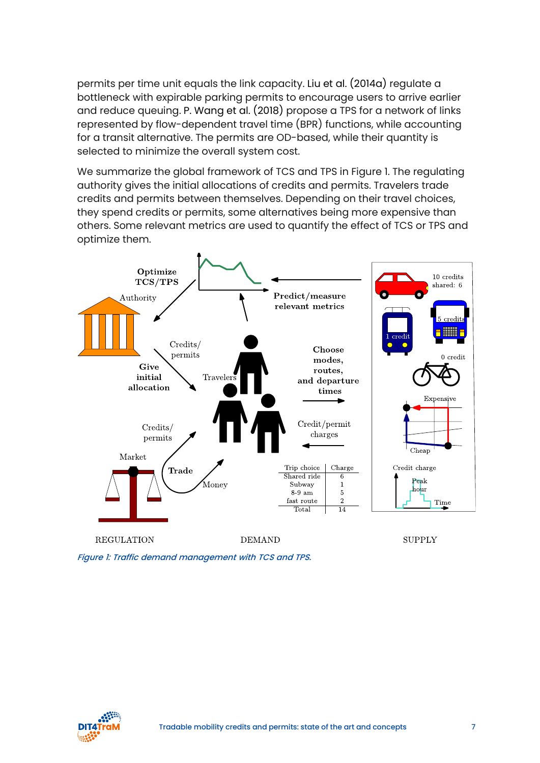permits per time unit equals the link capacity. Liu et al. (2014a) regulate a bottleneck with expirable parking permits to encourage users to arrive earlier and reduce queuing. P. Wang et al. (2018) propose a TPS for a network of links represented by flow-dependent travel time (BPR) functions, while accounting for a transit alternative. The permits are OD-based, while their quantity is selected to minimize the overall system cost.

We summarize the global framework of TCS and TPS in Figure 1. The regulating authority gives the initial allocations of credits and permits. Travelers trade credits and permits between themselves. Depending on their travel choices, they spend credits or permits, some alternatives being more expensive than others. Some relevant metrics are used to quantify the effect of TCS or TPS and optimize them.



Figure 1: Traffic demand management with TCS and TPS.

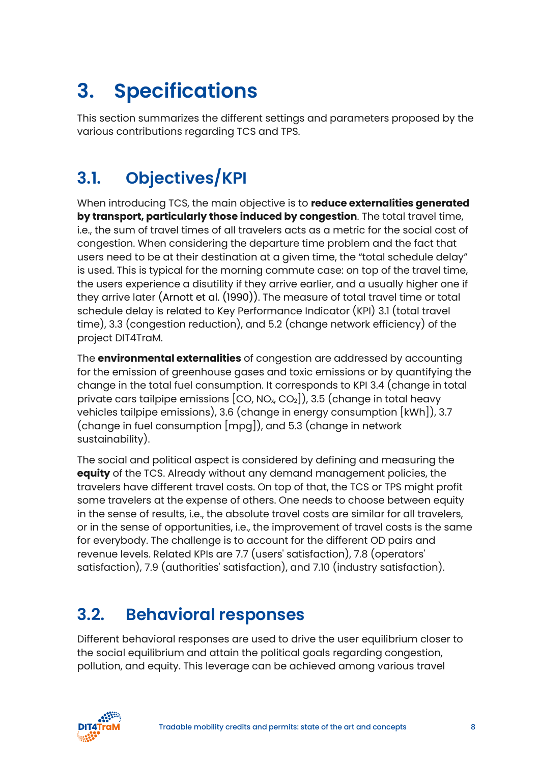# <span id="page-7-0"></span>**3. Specifications**

This section summarizes the different settings and parameters proposed by the various contributions regarding TCS and TPS.

### <span id="page-7-1"></span>**3.1. Objectives/KPI**

When introducing TCS, the main objective is to **reduce externalities generated by transport, particularly those induced by congestion**. The total travel time, i.e., the sum of travel times of all travelers acts as a metric for the social cost of congestion. When considering the departure time problem and the fact that users need to be at their destination at a given time, the "total schedule delay" is used. This is typical for the morning commute case: on top of the travel time, the users experience a disutility if they arrive earlier, and a usually higher one if they arrive later (Arnott et al. (1990)). The measure of total travel time or total schedule delay is related to Key Performance Indicator (KPI) 3.1 (total travel time), 3.3 (congestion reduction), and 5.2 (change network efficiency) of the project DIT4TraM.

The **environmental externalities** of congestion are addressed by accounting for the emission of greenhouse gases and toxic emissions or by quantifying the change in the total fuel consumption. It corresponds to KPI 3.4 (change in total private cars tailpipe emissions  $[CO, NO_x CO_2]$ , 3.5 (change in total heavy vehicles tailpipe emissions), 3.6 (change in energy consumption [kWh]), 3.7 (change in fuel consumption [mpg]), and 5.3 (change in network sustainability).

The social and political aspect is considered by defining and measuring the **equity** of the TCS. Already without any demand management policies, the travelers have different travel costs. On top of that, the TCS or TPS might profit some travelers at the expense of others. One needs to choose between equity in the sense of results, i.e., the absolute travel costs are similar for all travelers, or in the sense of opportunities, i.e., the improvement of travel costs is the same for everybody. The challenge is to account for the different OD pairs and revenue levels. Related KPIs are 7.7 (users' satisfaction), 7.8 (operators' satisfaction), 7.9 (authorities' satisfaction), and 7.10 (industry satisfaction).

### <span id="page-7-2"></span>**3.2. Behavioral responses**

Different behavioral responses are used to drive the user equilibrium closer to the social equilibrium and attain the political goals regarding congestion, pollution, and equity. This leverage can be achieved among various travel

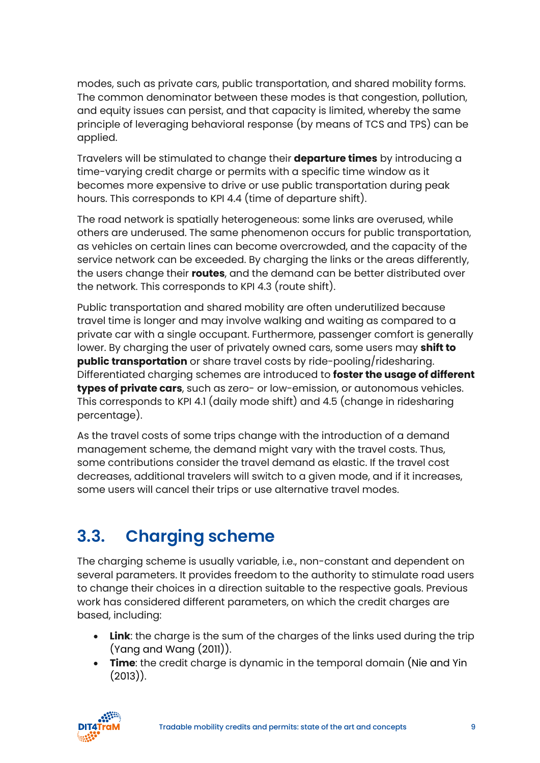modes, such as private cars, public transportation, and shared mobility forms. The common denominator between these modes is that congestion, pollution, and equity issues can persist, and that capacity is limited, whereby the same principle of leveraging behavioral response (by means of TCS and TPS) can be applied.

Travelers will be stimulated to change their **departure times** by introducing a time-varying credit charge or permits with a specific time window as it becomes more expensive to drive or use public transportation during peak hours. This corresponds to KPI 4.4 (time of departure shift).

The road network is spatially heterogeneous: some links are overused, while others are underused. The same phenomenon occurs for public transportation, as vehicles on certain lines can become overcrowded, and the capacity of the service network can be exceeded. By charging the links or the areas differently, the users change their **routes**, and the demand can be better distributed over the network. This corresponds to KPI 4.3 (route shift).

Public transportation and shared mobility are often underutilized because travel time is longer and may involve walking and waiting as compared to a private car with a single occupant. Furthermore, passenger comfort is generally lower. By charging the user of privately owned cars, some users may **shift to public transportation** or share travel costs by ride-pooling/ridesharing. Differentiated charging schemes are introduced to **foster the usage of different types of private cars**, such as zero- or low-emission, or autonomous vehicles. This corresponds to KPI 4.1 (daily mode shift) and 4.5 (change in ridesharing percentage).

As the travel costs of some trips change with the introduction of a demand management scheme, the demand might vary with the travel costs. Thus, some contributions consider the travel demand as elastic. If the travel cost decreases, additional travelers will switch to a given mode, and if it increases, some users will cancel their trips or use alternative travel modes.

### <span id="page-8-0"></span>**3.3. Charging scheme**

The charging scheme is usually variable, i.e., non-constant and dependent on several parameters. It provides freedom to the authority to stimulate road users to change their choices in a direction suitable to the respective goals. Previous work has considered different parameters, on which the credit charges are based, including:

- **Link**: the charge is the sum of the charges of the links used during the trip (Yang and Wang (2011)).
- **Time**: the credit charge is dynamic in the temporal domain (Nie and Yin (2013)).

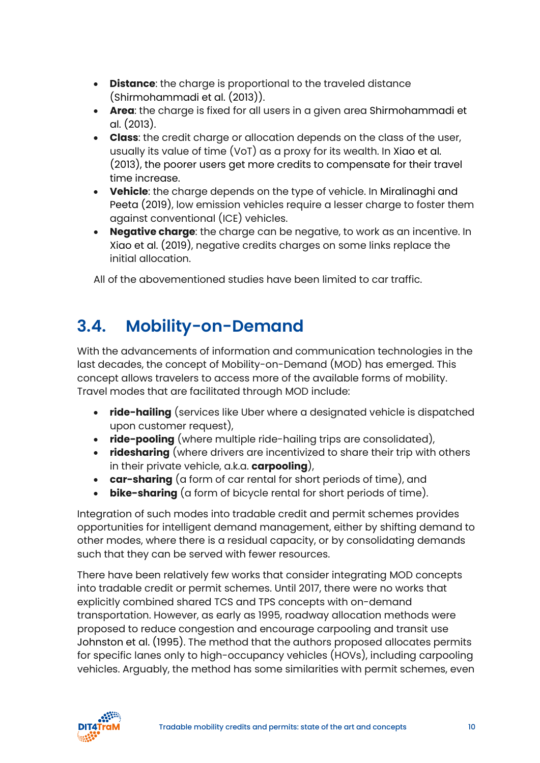- **Distance**: the charge is proportional to the traveled distance (Shirmohammadi et al. (2013)).
- **Area**: the charge is fixed for all users in a given area Shirmohammadi et al. (2013).
- **Class**: the credit charge or allocation depends on the class of the user, usually its value of time (VoT) as a proxy for its wealth. In Xiao et al. (2013), the poorer users get more credits to compensate for their travel time increase.
- **Vehicle**: the charge depends on the type of vehicle. In Miralinaghi and Peeta (2019), low emission vehicles require a lesser charge to foster them against conventional (ICE) vehicles.
- **Negative charge**: the charge can be negative, to work as an incentive. In Xiao et al. (2019), negative credits charges on some links replace the initial allocation.

All of the abovementioned studies have been limited to car traffic.

### <span id="page-9-0"></span>**3.4. Mobility-on-Demand**

With the advancements of information and communication technologies in the last decades, the concept of Mobility-on-Demand (MOD) has emerged. This concept allows travelers to access more of the available forms of mobility. Travel modes that are facilitated through MOD include:

- **ride-hailing** (services like Uber where a designated vehicle is dispatched upon customer request),
- **ride-pooling** (where multiple ride-hailing trips are consolidated),
- **ridesharing** (where drivers are incentivized to share their trip with others in their private vehicle, a.k.a. **carpooling**),
- **car-sharing** (a form of car rental for short periods of time), and
- **bike-sharing** (a form of bicycle rental for short periods of time).

Integration of such modes into tradable credit and permit schemes provides opportunities for intelligent demand management, either by shifting demand to other modes, where there is a residual capacity, or by consolidating demands such that they can be served with fewer resources.

There have been relatively few works that consider integrating MOD concepts into tradable credit or permit schemes. Until 2017, there were no works that explicitly combined shared TCS and TPS concepts with on-demand transportation. However, as early as 1995, roadway allocation methods were proposed to reduce congestion and encourage carpooling and transit use Johnston et al. (1995). The method that the authors proposed allocates permits for specific lanes only to high-occupancy vehicles (HOVs), including carpooling vehicles. Arguably, the method has some similarities with permit schemes, even

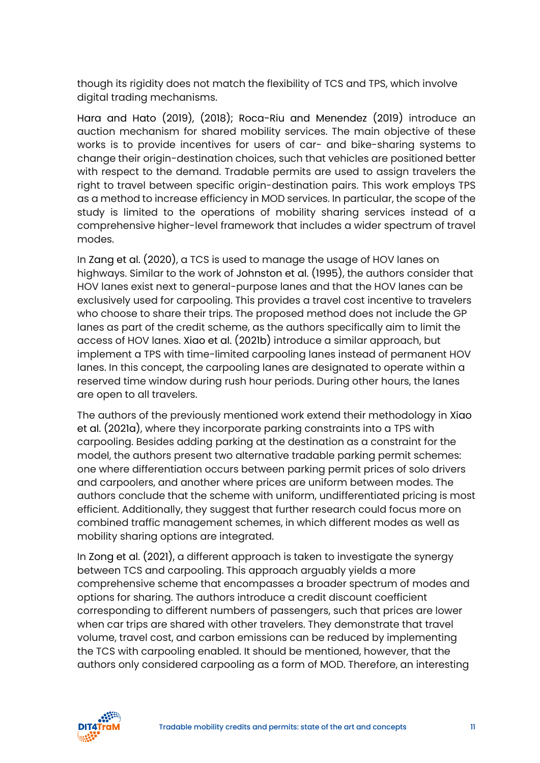though its rigidity does not match the flexibility of TCS and TPS, which involve digital trading mechanisms.

Hara and Hato (2019), (2018); Roca-Riu and Menendez (2019) introduce an auction mechanism for shared mobility services. The main objective of these works is to provide incentives for users of car- and bike-sharing systems to change their origin-destination choices, such that vehicles are positioned better with respect to the demand. Tradable permits are used to assign travelers the right to travel between specific origin-destination pairs. This work employs TPS as a method to increase efficiency in MOD services. In particular, the scope of the study is limited to the operations of mobility sharing services instead of a comprehensive higher-level framework that includes a wider spectrum of travel modes.

In Zang et al. (2020), a TCS is used to manage the usage of HOV lanes on highways. Similar to the work of Johnston et al. (1995), the authors consider that HOV lanes exist next to general-purpose lanes and that the HOV lanes can be exclusively used for carpooling. This provides a travel cost incentive to travelers who choose to share their trips. The proposed method does not include the GP lanes as part of the credit scheme, as the authors specifically aim to limit the access of HOV lanes. Xiao et al. (2021b) introduce a similar approach, but implement a TPS with time-limited carpooling lanes instead of permanent HOV lanes. In this concept, the carpooling lanes are designated to operate within a reserved time window during rush hour periods. During other hours, the lanes are open to all travelers.

The authors of the previously mentioned work extend their methodology in Xiao et al. (2021a), where they incorporate parking constraints into a TPS with carpooling. Besides adding parking at the destination as a constraint for the model, the authors present two alternative tradable parking permit schemes: one where differentiation occurs between parking permit prices of solo drivers and carpoolers, and another where prices are uniform between modes. The authors conclude that the scheme with uniform, undifferentiated pricing is most efficient. Additionally, they suggest that further research could focus more on combined traffic management schemes, in which different modes as well as mobility sharing options are integrated.

In Zong et al. (2021), a different approach is taken to investigate the synergy between TCS and carpooling. This approach arguably yields a more comprehensive scheme that encompasses a broader spectrum of modes and options for sharing. The authors introduce a credit discount coefficient corresponding to different numbers of passengers, such that prices are lower when car trips are shared with other travelers. They demonstrate that travel volume, travel cost, and carbon emissions can be reduced by implementing the TCS with carpooling enabled. It should be mentioned, however, that the authors only considered carpooling as a form of MOD. Therefore, an interesting

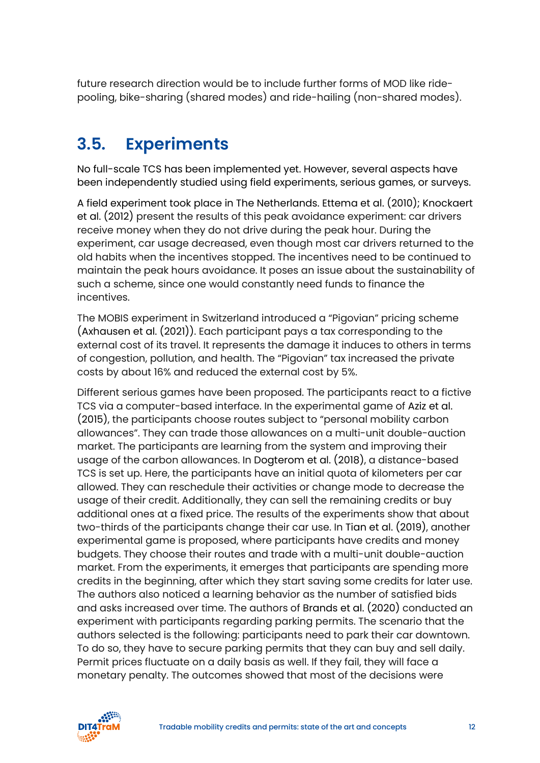future research direction would be to include further forms of MOD like ridepooling, bike-sharing (shared modes) and ride-hailing (non-shared modes).

### <span id="page-11-0"></span>**3.5. Experiments**

No full-scale TCS has been implemented yet. However, several aspects have been independently studied using field experiments, serious games, or surveys.

A field experiment took place in The Netherlands. Ettema et al. (2010); Knockaert et al. (2012) present the results of this peak avoidance experiment: car drivers receive money when they do not drive during the peak hour. During the experiment, car usage decreased, even though most car drivers returned to the old habits when the incentives stopped. The incentives need to be continued to maintain the peak hours avoidance. It poses an issue about the sustainability of such a scheme, since one would constantly need funds to finance the incentives.

The MOBIS experiment in Switzerland introduced a "Pigovian" pricing scheme (Axhausen et al. (2021)). Each participant pays a tax corresponding to the external cost of its travel. It represents the damage it induces to others in terms of congestion, pollution, and health. The "Pigovian" tax increased the private costs by about 16% and reduced the external cost by 5%.

Different serious games have been proposed. The participants react to a fictive TCS via a computer-based interface. In the experimental game of Aziz et al. (2015), the participants choose routes subject to "personal mobility carbon allowances". They can trade those allowances on a multi-unit double-auction market. The participants are learning from the system and improving their usage of the carbon allowances. In Dogterom et al. (2018), a distance-based TCS is set up. Here, the participants have an initial quota of kilometers per car allowed. They can reschedule their activities or change mode to decrease the usage of their credit. Additionally, they can sell the remaining credits or buy additional ones at a fixed price. The results of the experiments show that about two-thirds of the participants change their car use. In Tian et al. (2019), another experimental game is proposed, where participants have credits and money budgets. They choose their routes and trade with a multi-unit double-auction market. From the experiments, it emerges that participants are spending more credits in the beginning, after which they start saving some credits for later use. The authors also noticed a learning behavior as the number of satisfied bids and asks increased over time. The authors of Brands et al. (2020) conducted an experiment with participants regarding parking permits. The scenario that the authors selected is the following: participants need to park their car downtown. To do so, they have to secure parking permits that they can buy and sell daily. Permit prices fluctuate on a daily basis as well. If they fail, they will face a monetary penalty. The outcomes showed that most of the decisions were

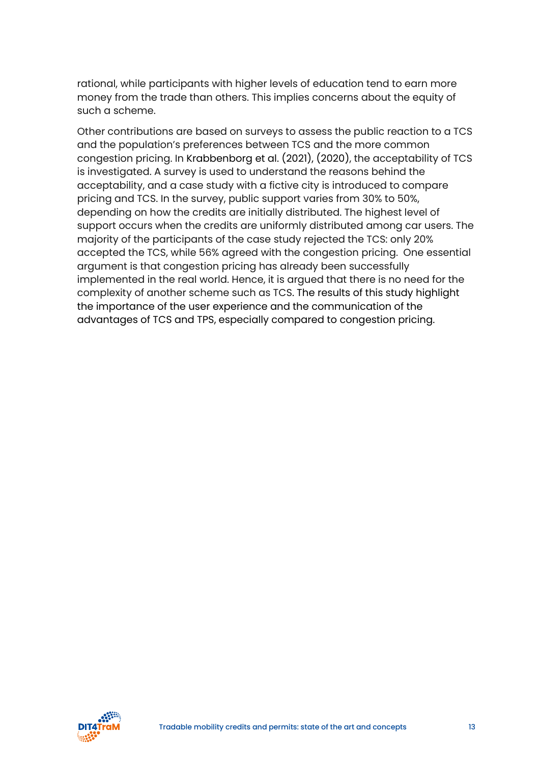rational, while participants with higher levels of education tend to earn more money from the trade than others. This implies concerns about the equity of such a scheme.

Other contributions are based on surveys to assess the public reaction to a TCS and the population's preferences between TCS and the more common congestion pricing. In Krabbenborg et al. (2021), (2020), the acceptability of TCS is investigated. A survey is used to understand the reasons behind the acceptability, and a case study with a fictive city is introduced to compare pricing and TCS. In the survey, public support varies from 30% to 50%, depending on how the credits are initially distributed. The highest level of support occurs when the credits are uniformly distributed among car users. The majority of the participants of the case study rejected the TCS: only 20% accepted the TCS, while 56% agreed with the congestion pricing. One essential argument is that congestion pricing has already been successfully implemented in the real world. Hence, it is argued that there is no need for the complexity of another scheme such as TCS. The results of this study highlight the importance of the user experience and the communication of the advantages of TCS and TPS, especially compared to congestion pricing.

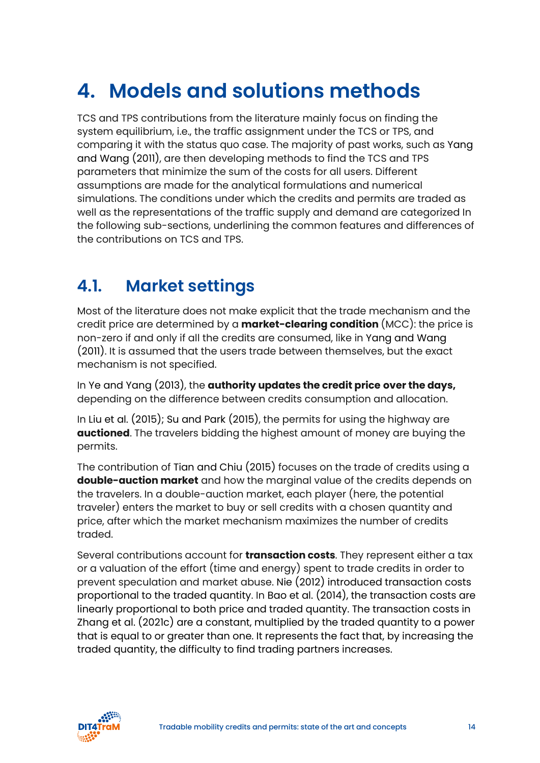### <span id="page-13-0"></span>**4. Models and solutions methods**

TCS and TPS contributions from the literature mainly focus on finding the system equilibrium, i.e., the traffic assignment under the TCS or TPS, and comparing it with the status quo case. The majority of past works, such as Yang and Wang (2011), are then developing methods to find the TCS and TPS parameters that minimize the sum of the costs for all users. Different assumptions are made for the analytical formulations and numerical simulations. The conditions under which the credits and permits are traded as well as the representations of the traffic supply and demand are categorized In the following sub-sections, underlining the common features and differences of the contributions on TCS and TPS.

### <span id="page-13-1"></span>**4.1. Market settings**

Most of the literature does not make explicit that the trade mechanism and the credit price are determined by a **market-clearing condition** (MCC): the price is non-zero if and only if all the credits are consumed, like in Yang and Wang (2011). It is assumed that the users trade between themselves, but the exact mechanism is not specified.

In Ye and Yang (2013), the **authority updates the credit price over the days,**  depending on the difference between credits consumption and allocation.

In Liu et al. (2015); Su and Park (2015), the permits for using the highway are **auctioned**. The travelers bidding the highest amount of money are buying the permits.

The contribution of Tian and Chiu (2015) focuses on the trade of credits using a **double-auction market** and how the marginal value of the credits depends on the travelers. In a double-auction market, each player (here, the potential traveler) enters the market to buy or sell credits with a chosen quantity and price, after which the market mechanism maximizes the number of credits traded.

Several contributions account for **transaction costs**. They represent either a tax or a valuation of the effort (time and energy) spent to trade credits in order to prevent speculation and market abuse. Nie (2012) introduced transaction costs proportional to the traded quantity. In Bao et al. (2014), the transaction costs are linearly proportional to both price and traded quantity. The transaction costs in Zhang et al. (2021c) are a constant, multiplied by the traded quantity to a power that is equal to or greater than one. It represents the fact that, by increasing the traded quantity, the difficulty to find trading partners increases.

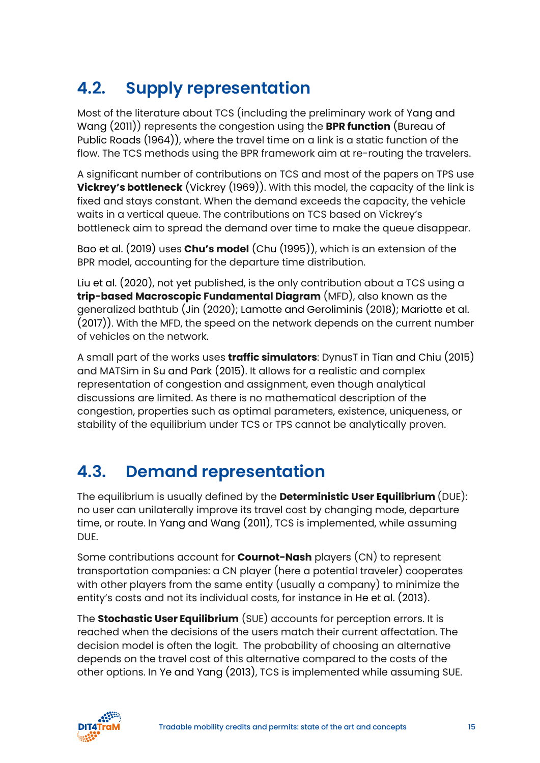### <span id="page-14-0"></span>**4.2. Supply representation**

Most of the literature about TCS (including the preliminary work of Yang and Wang (2011)) represents the congestion using the **BPR function** (Bureau of Public Roads (1964)), where the travel time on a link is a static function of the flow. The TCS methods using the BPR framework aim at re-routing the travelers.

A significant number of contributions on TCS and most of the papers on TPS use **Vickrey's bottleneck** (Vickrey (1969)). With this model, the capacity of the link is fixed and stays constant. When the demand exceeds the capacity, the vehicle waits in a vertical queue. The contributions on TCS based on Vickrey's bottleneck aim to spread the demand over time to make the queue disappear.

Bao et al. (2019) uses **Chu's model** (Chu (1995)), which is an extension of the BPR model, accounting for the departure time distribution.

Liu et al. (2020), not yet published, is the only contribution about a TCS using a **trip-based Macroscopic Fundamental Diagram** (MFD), also known as the generalized bathtub (Jin (2020); Lamotte and Geroliminis (2018); Mariotte et al. (2017)). With the MFD, the speed on the network depends on the current number of vehicles on the network.

A small part of the works uses **traffic simulators**: DynusT in Tian and Chiu (2015) and MATSim in Su and Park (2015). It allows for a realistic and complex representation of congestion and assignment, even though analytical discussions are limited. As there is no mathematical description of the congestion, properties such as optimal parameters, existence, uniqueness, or stability of the equilibrium under TCS or TPS cannot be analytically proven.

### <span id="page-14-1"></span>**4.3. Demand representation**

The equilibrium is usually defined by the **Deterministic User Equilibrium** (DUE): no user can unilaterally improve its travel cost by changing mode, departure time, or route. In Yang and Wang (2011), TCS is implemented, while assuming DUE.

Some contributions account for **Cournot-Nash** players (CN) to represent transportation companies: a CN player (here a potential traveler) cooperates with other players from the same entity (usually a company) to minimize the entity's costs and not its individual costs, for instance in He et al. (2013).

The **Stochastic User Equilibrium** (SUE) accounts for perception errors. It is reached when the decisions of the users match their current affectation. The decision model is often the logit. The probability of choosing an alternative depends on the travel cost of this alternative compared to the costs of the other options. In Ye and Yang (2013), TCS is implemented while assuming SUE.

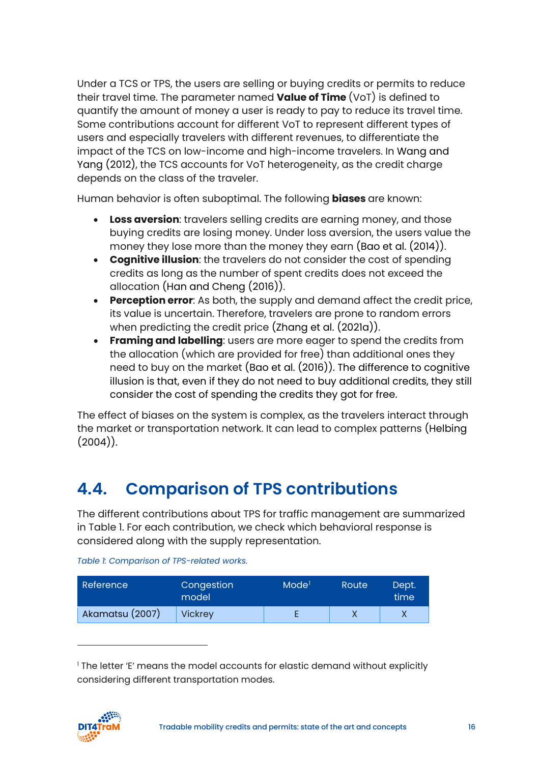Under a TCS or TPS, the users are selling or buying credits or permits to reduce their travel time. The parameter named **Value of Time** (VoT) is defined to quantify the amount of money a user is ready to pay to reduce its travel time. Some contributions account for different VoT to represent different types of users and especially travelers with different revenues, to differentiate the impact of the TCS on low-income and high-income travelers. In Wang and Yang (2012), the TCS accounts for VoT heterogeneity, as the credit charge depends on the class of the traveler.

Human behavior is often suboptimal. The following **biases** are known:

- **Loss aversion**: travelers selling credits are earning money, and those buying credits are losing money. Under loss aversion, the users value the money they lose more than the money they earn (Bao et al. (2014)).
- **Cognitive illusion**: the travelers do not consider the cost of spending credits as long as the number of spent credits does not exceed the allocation (Han and Cheng (2016)).
- **Perception error**: As both, the supply and demand affect the credit price, its value is uncertain. Therefore, travelers are prone to random errors when predicting the credit price (Zhang et al. (2021a)).
- **Framing and labelling**: users are more eager to spend the credits from the allocation (which are provided for free) than additional ones they need to buy on the market (Bao et al. (2016)). The difference to cognitive illusion is that, even if they do not need to buy additional credits, they still consider the cost of spending the credits they got for free.

The effect of biases on the system is complex, as the travelers interact through the market or transportation network. It can lead to complex patterns (Helbing  $(2004)$ ).

### <span id="page-15-0"></span>**4.4. Comparison of TPS contributions**

The different contributions about TPS for traffic management are summarized in Table 1. For each contribution, we check which behavioral response is considered along with the supply representation.

| Reference       | Congestion<br>model | Mode <sup>1</sup> | Route | Dept.<br>time |
|-----------------|---------------------|-------------------|-------|---------------|
| Akamatsu (2007) | <b>Vickrey</b>      |                   |       |               |

*Table 1: Comparison of TPS-related works.*

<span id="page-15-1"></span><sup>&</sup>lt;sup>1</sup> The letter 'E' means the model accounts for elastic demand without explicitly considering different transportation modes.

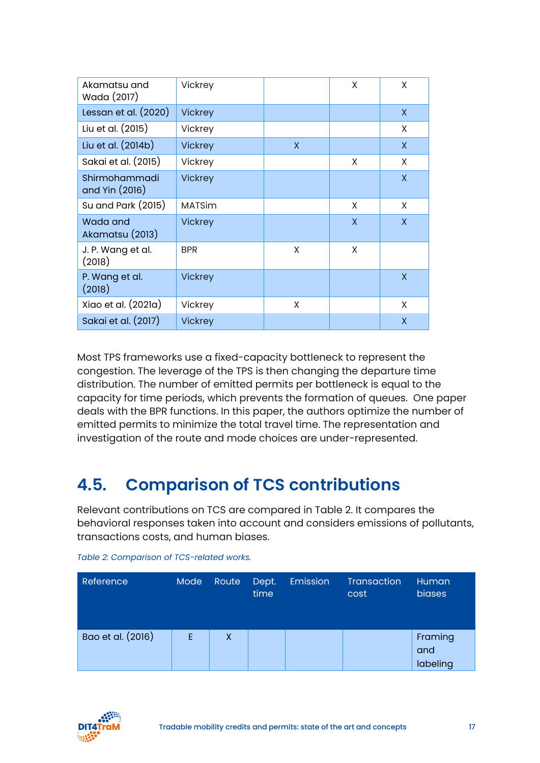| Akamatsu and<br>Wada (2017)     | Vickrey        |   | X | X |
|---------------------------------|----------------|---|---|---|
| Lessan et al. $(2020)$          | <b>Vickrey</b> |   |   | X |
| Liu et al. (2015)               | Vickrey        |   |   | X |
| Liu et al. (2014b)              | <b>Vickrey</b> | X |   | X |
| Sakai et al. (2015)             | Vickrey        |   | X | X |
| Shirmohammadi<br>and Yin (2016) | <b>Vickrey</b> |   |   | X |
| Su and Park (2015)              | <b>MATSim</b>  |   | X | X |
| Wada and<br>Akamatsu (2013)     | <b>Vickrey</b> |   | X | X |
| J. P. Wang et al.<br>(2018)     | <b>BPR</b>     | X | X |   |
| P. Wang et al.<br>(2018)        | <b>Vickrey</b> |   |   | X |
| Xiao et al. (2021a)             | Vickrey        | X |   | X |
| Sakai et al. (2017)             | <b>Vickrey</b> |   |   | X |

Most TPS frameworks use a fixed-capacity bottleneck to represent the congestion. The leverage of the TPS is then changing the departure time distribution. The number of emitted permits per bottleneck is equal to the capacity for time periods, which prevents the formation of queues. One paper deals with the BPR functions. In this paper, the authors optimize the number of emitted permits to minimize the total travel time. The representation and investigation of the route and mode choices are under-represented.

### <span id="page-16-0"></span>**4.5. Comparison of TCS contributions**

Relevant contributions on TCS are compared in Table 2. It compares the behavioral responses taken into account and considers emissions of pollutants, transactions costs, and human biases.

| Reference         | Mode | Route | Dept.<br>time | Emission | <b>Transaction</b><br>cost | Human <sub>i</sub><br>biases |
|-------------------|------|-------|---------------|----------|----------------------------|------------------------------|
| Bao et al. (2016) | E.   | X     |               |          |                            | Framing<br>and<br>labeling   |

*Table 2: Comparison of TCS-related works.*

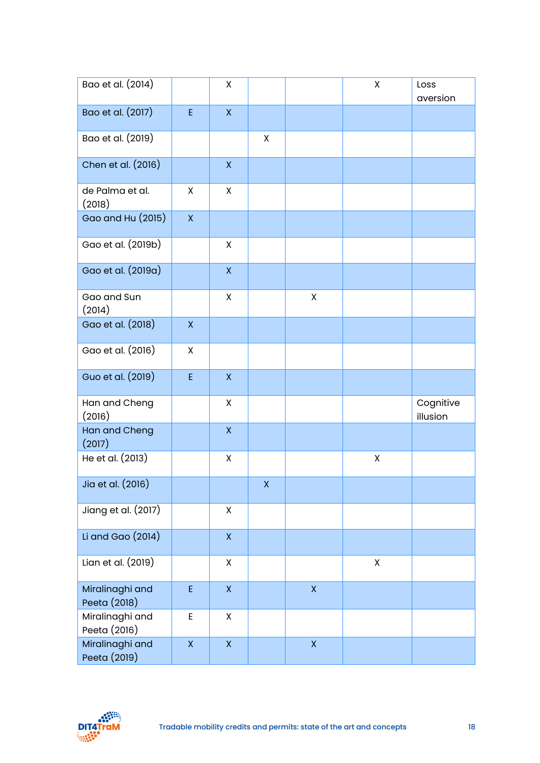| Bao et al. (2014)               |              | X                       |    |                    | $\pmb{\mathsf{X}}$ | Loss<br>aversion      |
|---------------------------------|--------------|-------------------------|----|--------------------|--------------------|-----------------------|
| Bao et al. (2017)               | E            | $\mathsf X$             |    |                    |                    |                       |
| Bao et al. (2019)               |              |                         | X  |                    |                    |                       |
| Chen et al. (2016)              |              | $\pmb{\mathsf{X}}$      |    |                    |                    |                       |
| de Palma et al.<br>(2018)       | X            | X                       |    |                    |                    |                       |
| Gao and Hu (2015)               | $\mathsf{X}$ |                         |    |                    |                    |                       |
| Gao et al. (2019b)              |              | X                       |    |                    |                    |                       |
| Gao et al. (2019a)              |              | $\pmb{\mathsf{X}}$      |    |                    |                    |                       |
| Gao and Sun<br>(2014)           |              | X                       |    | $\pmb{\mathsf{X}}$ |                    |                       |
| Gao et al. (2018)               | $\mathsf{X}$ |                         |    |                    |                    |                       |
| Gao et al. (2016)               | X            |                         |    |                    |                    |                       |
| Guo et al. (2019)               | E            | $\pmb{\mathsf{X}}$      |    |                    |                    |                       |
| Han and Cheng<br>(2016)         |              | X                       |    |                    |                    | Cognitive<br>illusion |
| Han and Cheng<br>(2017)         |              | $\pmb{\mathsf{X}}$      |    |                    |                    |                       |
| He et al. (2013)                |              | X                       |    |                    | X                  |                       |
| Jia et al. (2016)               |              |                         | X. |                    |                    |                       |
| Jiang et al. (2017)             |              | Χ                       |    |                    |                    |                       |
| Li and Gao $(2014)$             |              | $\overline{\mathsf{X}}$ |    |                    |                    |                       |
| Lian et al. (2019)              |              | $\pmb{\mathsf{X}}$      |    |                    | $\pmb{\mathsf{X}}$ |                       |
| Miralinaghi and<br>Peeta (2018) | E            | $\pmb{\mathsf{X}}$      |    | $\mathsf X$        |                    |                       |
| Miralinaghi and<br>Peeta (2016) | E            | X                       |    |                    |                    |                       |
| Miralinaghi and<br>Peeta (2019) | $\mathsf{X}$ | $\bar{\mathsf{X}}$      |    | $\mathsf X$        |                    |                       |

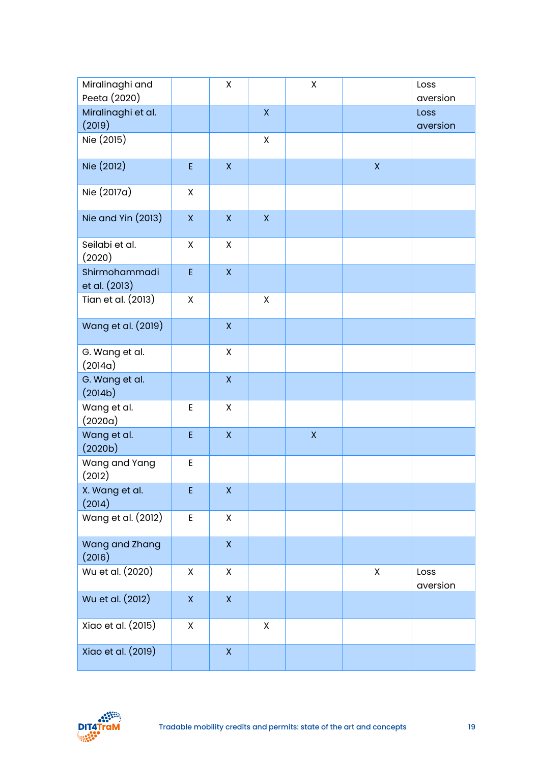| Miralinaghi and<br>Peeta (2020) |              | Χ                       |                    | $\pmb{\mathsf{X}}$ |             | Loss<br>aversion |
|---------------------------------|--------------|-------------------------|--------------------|--------------------|-------------|------------------|
| Miralinaghi et al.<br>(2019)    |              |                         | $\pmb{\mathsf{X}}$ |                    |             | Loss<br>aversion |
| Nie (2015)                      |              |                         | $\mathsf{X}$       |                    |             |                  |
| Nie (2012)                      | E            | $\overline{\mathsf{X}}$ |                    |                    | $\mathsf X$ |                  |
| Nie (2017a)                     | X            |                         |                    |                    |             |                  |
| Nie and Yin (2013)              | $\mathsf X$  | $\pmb{\mathsf{X}}$      | $\overline{X}$     |                    |             |                  |
| Seilabi et al.<br>(2020)        | X            | X                       |                    |                    |             |                  |
| Shirmohammadi<br>et al. (2013)  | E            | $\pmb{\mathsf{X}}$      |                    |                    |             |                  |
| Tian et al. (2013)              | X            |                         | X                  |                    |             |                  |
| Wang et al. (2019)              |              | $\overline{X}$          |                    |                    |             |                  |
| G. Wang et al.<br>(2014a)       |              | X                       |                    |                    |             |                  |
| G. Wang et al.<br>(2014b)       |              | $\pmb{\mathsf{X}}$      |                    |                    |             |                  |
| Wang et al.<br>(2020a)          | E            | X                       |                    |                    |             |                  |
| Wang et al.<br>(2020b)          | E            | $\pmb{\mathsf{X}}$      |                    | $\pmb{\mathsf{X}}$ |             |                  |
| Wang and Yang<br>(2012)         | E            |                         |                    |                    |             |                  |
| X. Wang et al.<br>(2014)        | E            | $\pmb{\mathsf{X}}$      |                    |                    |             |                  |
| Wang et al. (2012)              | E            | X                       |                    |                    |             |                  |
| Wang and Zhang<br>(2016)        |              | $\mathsf{X}$            |                    |                    |             |                  |
| Wu et al. (2020)                | X            | X                       |                    |                    | X           | Loss<br>aversion |
| Wu et al. (2012)                | $\mathsf{X}$ | $\mathsf X$             |                    |                    |             |                  |
| Xiao et al. (2015)              | X            |                         | X                  |                    |             |                  |
| Xiao et al. (2019)              |              | $\pmb{\mathsf{X}}$      |                    |                    |             |                  |

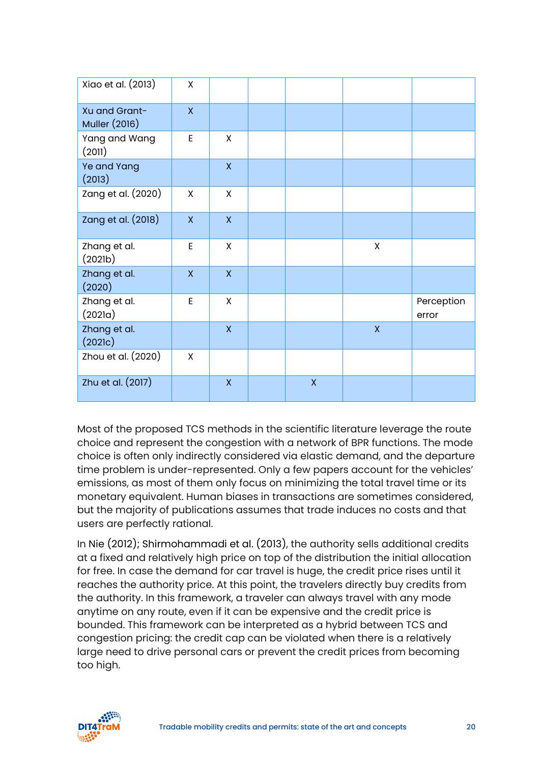| Xiao et al. (2013)                    | X                       |              |              |              |                     |
|---------------------------------------|-------------------------|--------------|--------------|--------------|---------------------|
| Xu and Grant-<br><b>Muller (2016)</b> | $\mathsf{X}$            |              |              |              |                     |
| Yang and Wang<br>(2011)               | E                       | X            |              |              |                     |
| Ye and Yang<br>(2013)                 |                         | $\mathsf{X}$ |              |              |                     |
| Zang et al. (2020)                    | X                       | $\mathsf{X}$ |              |              |                     |
| Zang et al. (2018)                    | $\overline{\mathsf{x}}$ | $\mathsf{X}$ |              |              |                     |
| Zhang et al.<br>(2021b)               | E                       | X            |              | X            |                     |
| Zhang et al.<br>(2020)                | $\mathsf{X}$            | $\mathsf{X}$ |              |              |                     |
| Zhang et al.<br>(2021a)               | E                       | X            |              |              | Perception<br>error |
| Zhang et al.<br>(202lc)               |                         | $\mathsf{X}$ |              | $\mathsf{X}$ |                     |
| Zhou et al. (2020)                    | X                       |              |              |              |                     |
| Zhu et al. (2017)                     |                         | $\mathsf{X}$ | $\mathsf{X}$ |              |                     |

Most of the proposed TCS methods in the scientific literature leverage the route choice and represent the congestion with a network of BPR functions. The mode choice is often only indirectly considered via elastic demand, and the departure time problem is under-represented. Only a few papers account for the vehicles' emissions, as most of them only focus on minimizing the total travel time or its monetary equivalent. Human biases in transactions are sometimes considered, but the majority of publications assumes that trade induces no costs and that users are perfectly rational.

In Nie (2012); Shirmohammadi et al. (2013), the authority sells additional credits at a fixed and relatively high price on top of the distribution the initial allocation for free. In case the demand for car travel is huge, the credit price rises until it reaches the authority price. At this point, the travelers directly buy credits from the authority. In this framework, a traveler can always travel with any mode anytime on any route, even if it can be expensive and the credit price is bounded. This framework can be interpreted as a hybrid between TCS and congestion pricing: the credit cap can be violated when there is a relatively large need to drive personal cars or prevent the credit prices from becoming too high.

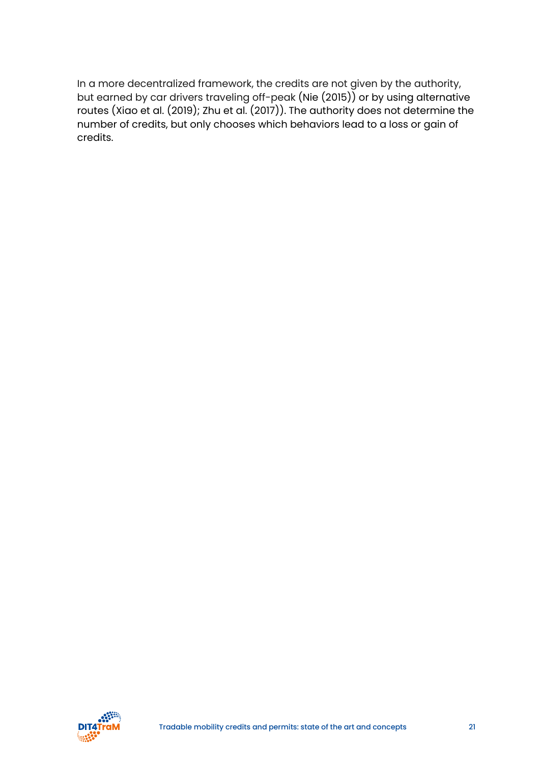In a more decentralized framework, the credits are not given by the authority, but earned by car drivers traveling off-peak (Nie (2015)) or by using alternative routes (Xiao et al. (2019); Zhu et al. (2017)). The authority does not determine the number of credits, but only chooses which behaviors lead to a loss or gain of credits.

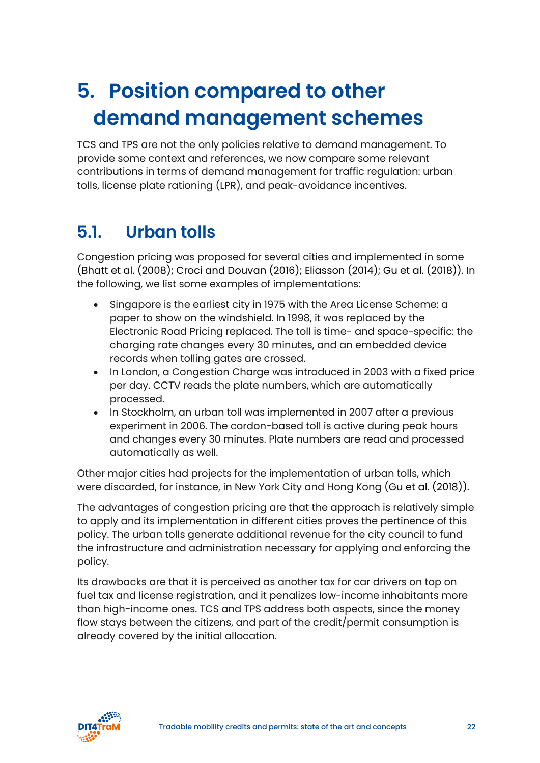### <span id="page-21-0"></span>**5. Position compared to other demand management schemes**

TCS and TPS are not the only policies relative to demand management. To provide some context and references, we now compare some relevant contributions in terms of demand management for traffic regulation: urban tolls, license plate rationing (LPR), and peak-avoidance incentives.

#### <span id="page-21-1"></span>**5.1. Urban tolls**

Congestion pricing was proposed for several cities and implemented in some (Bhatt et al. (2008); Croci and Douvan (2016); Eliasson (2014); Gu et al. (2018)). In the following, we list some examples of implementations:

- Singapore is the earliest city in 1975 with the Area License Scheme: a paper to show on the windshield. In 1998, it was replaced by the Electronic Road Pricing replaced. The toll is time- and space-specific: the charging rate changes every 30 minutes, and an embedded device records when tolling gates are crossed.
- In London, a Congestion Charge was introduced in 2003 with a fixed price per day. CCTV reads the plate numbers, which are automatically processed.
- In Stockholm, an urban toll was implemented in 2007 after a previous experiment in 2006. The cordon-based toll is active during peak hours and changes every 30 minutes. Plate numbers are read and processed automatically as well.

Other major cities had projects for the implementation of urban tolls, which were discarded, for instance, in New York City and Hong Kong (Gu et al. (2018)).

The advantages of congestion pricing are that the approach is relatively simple to apply and its implementation in different cities proves the pertinence of this policy. The urban tolls generate additional revenue for the city council to fund the infrastructure and administration necessary for applying and enforcing the policy.

Its drawbacks are that it is perceived as another tax for car drivers on top on fuel tax and license registration, and it penalizes low-income inhabitants more than high-income ones. TCS and TPS address both aspects, since the money flow stays between the citizens, and part of the credit/permit consumption is already covered by the initial allocation.

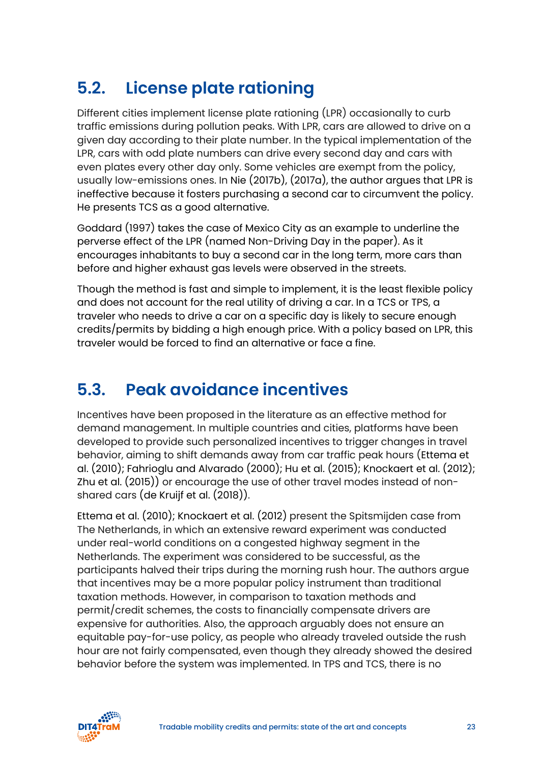### <span id="page-22-0"></span>**5.2. License plate rationing**

Different cities implement license plate rationing (LPR) occasionally to curb traffic emissions during pollution peaks. With LPR, cars are allowed to drive on a given day according to their plate number. In the typical implementation of the LPR, cars with odd plate numbers can drive every second day and cars with even plates every other day only. Some vehicles are exempt from the policy, usually low-emissions ones. In Nie (2017b), (2017a), the author argues that LPR is ineffective because it fosters purchasing a second car to circumvent the policy. He presents TCS as a good alternative.

Goddard (1997) takes the case of Mexico City as an example to underline the perverse effect of the LPR (named Non-Driving Day in the paper). As it encourages inhabitants to buy a second car in the long term, more cars than before and higher exhaust gas levels were observed in the streets.

Though the method is fast and simple to implement, it is the least flexible policy and does not account for the real utility of driving a car. In a TCS or TPS, a traveler who needs to drive a car on a specific day is likely to secure enough credits/permits by bidding a high enough price. With a policy based on LPR, this traveler would be forced to find an alternative or face a fine.

### <span id="page-22-1"></span>**5.3. Peak avoidance incentives**

Incentives have been proposed in the literature as an effective method for demand management. In multiple countries and cities, platforms have been developed to provide such personalized incentives to trigger changes in travel behavior, aiming to shift demands away from car traffic peak hours (Ettema et al. (2010); Fahrioglu and Alvarado (2000); Hu et al. (2015); Knockaert et al. (2012); Zhu et al. (2015)) or encourage the use of other travel modes instead of nonshared cars (de Kruijf et al. (2018)).

Ettema et al. (2010); Knockaert et al. (2012) present the Spitsmijden case from The Netherlands, in which an extensive reward experiment was conducted under real-world conditions on a congested highway segment in the Netherlands. The experiment was considered to be successful, as the participants halved their trips during the morning rush hour. The authors argue that incentives may be a more popular policy instrument than traditional taxation methods. However, in comparison to taxation methods and permit/credit schemes, the costs to financially compensate drivers are expensive for authorities. Also, the approach arguably does not ensure an equitable pay-for-use policy, as people who already traveled outside the rush hour are not fairly compensated, even though they already showed the desired behavior before the system was implemented. In TPS and TCS, there is no

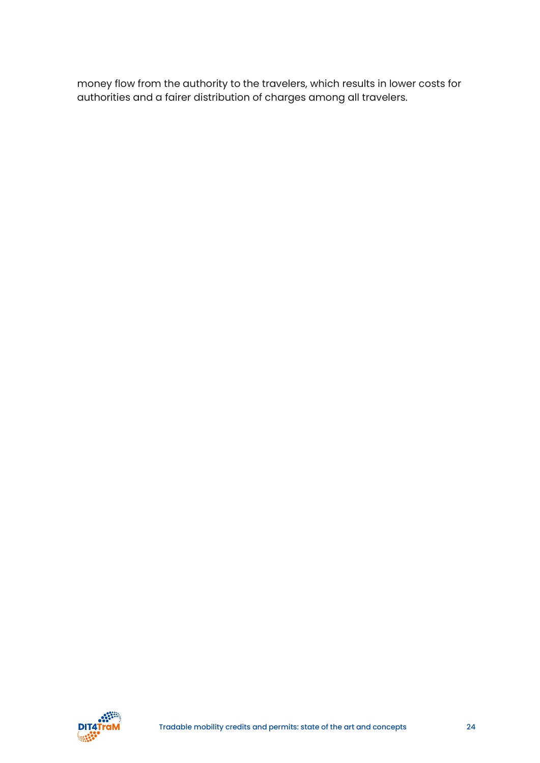money flow from the authority to the travelers, which results in lower costs for authorities and a fairer distribution of charges among all travelers.

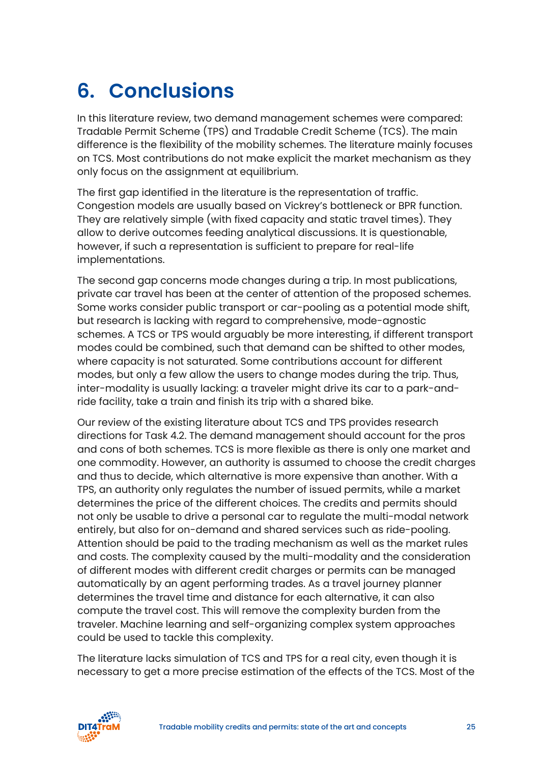## <span id="page-24-0"></span>**6. Conclusions**

In this literature review, two demand management schemes were compared: Tradable Permit Scheme (TPS) and Tradable Credit Scheme (TCS). The main difference is the flexibility of the mobility schemes. The literature mainly focuses on TCS. Most contributions do not make explicit the market mechanism as they only focus on the assignment at equilibrium.

The first gap identified in the literature is the representation of traffic. Congestion models are usually based on Vickrey's bottleneck or BPR function. They are relatively simple (with fixed capacity and static travel times). They allow to derive outcomes feeding analytical discussions. It is questionable, however, if such a representation is sufficient to prepare for real-life implementations.

The second gap concerns mode changes during a trip. In most publications, private car travel has been at the center of attention of the proposed schemes. Some works consider public transport or car-pooling as a potential mode shift, but research is lacking with regard to comprehensive, mode-agnostic schemes. A TCS or TPS would arguably be more interesting, if different transport modes could be combined, such that demand can be shifted to other modes, where capacity is not saturated. Some contributions account for different modes, but only a few allow the users to change modes during the trip. Thus, inter-modality is usually lacking: a traveler might drive its car to a park-andride facility, take a train and finish its trip with a shared bike.

Our review of the existing literature about TCS and TPS provides research directions for Task 4.2. The demand management should account for the pros and cons of both schemes. TCS is more flexible as there is only one market and one commodity. However, an authority is assumed to choose the credit charges and thus to decide, which alternative is more expensive than another. With a TPS, an authority only regulates the number of issued permits, while a market determines the price of the different choices. The credits and permits should not only be usable to drive a personal car to regulate the multi-modal network entirely, but also for on-demand and shared services such as ride-pooling. Attention should be paid to the trading mechanism as well as the market rules and costs. The complexity caused by the multi-modality and the consideration of different modes with different credit charges or permits can be managed automatically by an agent performing trades. As a travel journey planner determines the travel time and distance for each alternative, it can also compute the travel cost. This will remove the complexity burden from the traveler. Machine learning and self-organizing complex system approaches could be used to tackle this complexity.

The literature lacks simulation of TCS and TPS for a real city, even though it is necessary to get a more precise estimation of the effects of the TCS. Most of the

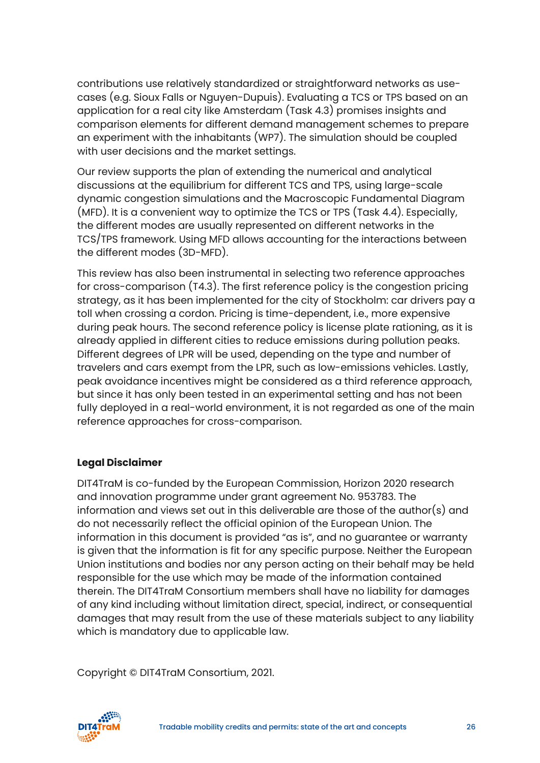contributions use relatively standardized or straightforward networks as usecases (e.g. Sioux Falls or Nguyen-Dupuis). Evaluating a TCS or TPS based on an application for a real city like Amsterdam (Task 4.3) promises insights and comparison elements for different demand management schemes to prepare an experiment with the inhabitants (WP7). The simulation should be coupled with user decisions and the market settings.

Our review supports the plan of extending the numerical and analytical discussions at the equilibrium for different TCS and TPS, using large-scale dynamic congestion simulations and the Macroscopic Fundamental Diagram (MFD). It is a convenient way to optimize the TCS or TPS (Task 4.4). Especially, the different modes are usually represented on different networks in the TCS/TPS framework. Using MFD allows accounting for the interactions between the different modes (3D-MFD).

This review has also been instrumental in selecting two reference approaches for cross-comparison (T4.3). The first reference policy is the congestion pricing strategy, as it has been implemented for the city of Stockholm: car drivers pay a toll when crossing a cordon. Pricing is time-dependent, i.e., more expensive during peak hours. The second reference policy is license plate rationing, as it is already applied in different cities to reduce emissions during pollution peaks. Different degrees of LPR will be used, depending on the type and number of travelers and cars exempt from the LPR, such as low-emissions vehicles. Lastly, peak avoidance incentives might be considered as a third reference approach, but since it has only been tested in an experimental setting and has not been fully deployed in a real-world environment, it is not regarded as one of the main reference approaches for cross-comparison.

#### **Legal Disclaimer**

DIT4TraM is co-funded by the European Commission, Horizon 2020 research and innovation programme under grant agreement No. 953783. The information and views set out in this deliverable are those of the author(s) and do not necessarily reflect the official opinion of the European Union. The information in this document is provided "as is", and no guarantee or warranty is given that the information is fit for any specific purpose. Neither the European Union institutions and bodies nor any person acting on their behalf may be held responsible for the use which may be made of the information contained therein. The DIT4TraM Consortium members shall have no liability for damages of any kind including without limitation direct, special, indirect, or consequential damages that may result from the use of these materials subject to any liability which is mandatory due to applicable law.

Copyright © DIT4TraM Consortium, 2021.

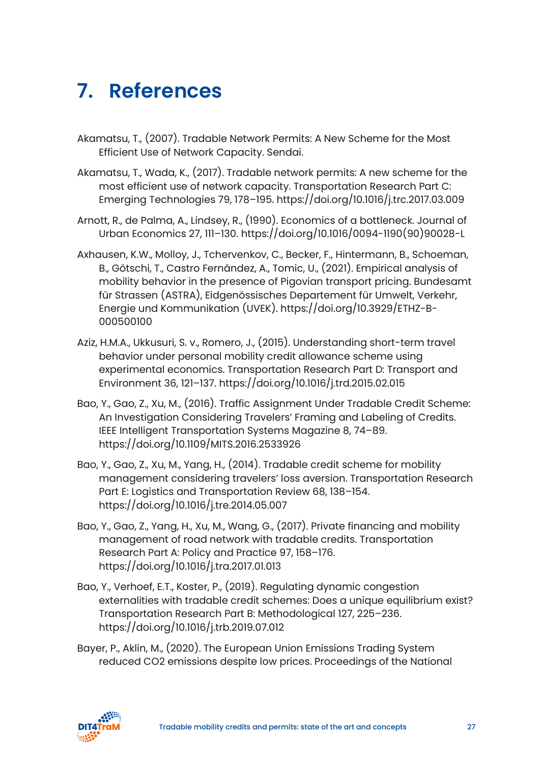### <span id="page-26-0"></span>**7. References**

- Akamatsu, T., (2007). Tradable Network Permits: A New Scheme for the Most Efficient Use of Network Capacity. Sendai.
- Akamatsu, T., Wada, K., (2017). Tradable network permits: A new scheme for the most efficient use of network capacity. Transportation Research Part C: Emerging Technologies 79, 178–195. https://doi.org/10.1016/j.trc.2017.03.009
- Arnott, R., de Palma, A., Lindsey, R., (1990). Economics of a bottleneck. Journal of Urban Economics 27, 111–130. https://doi.org/10.1016/0094-1190(90)90028-L
- Axhausen, K.W., Molloy, J., Tchervenkov, C., Becker, F., Hintermann, B., Schoeman, B., Götschi, T., Castro Fernández, A., Tomic, U., (2021). Empirical analysis of mobility behavior in the presence of Pigovian transport pricing. Bundesamt für Strassen (ASTRA), Eidgenössisches Departement für Umwelt, Verkehr, Energie und Kommunikation (UVEK). https://doi.org/10.3929/ETHZ-B-000500100
- Aziz, H.M.A., Ukkusuri, S. v., Romero, J., (2015). Understanding short-term travel behavior under personal mobility credit allowance scheme using experimental economics. Transportation Research Part D: Transport and Environment 36, 121–137. https://doi.org/10.1016/j.trd.2015.02.015
- Bao, Y., Gao, Z., Xu, M., (2016). Traffic Assignment Under Tradable Credit Scheme: An Investigation Considering Travelers' Framing and Labeling of Credits. IEEE Intelligent Transportation Systems Magazine 8, 74–89. https://doi.org/10.1109/MITS.2016.2533926
- Bao, Y., Gao, Z., Xu, M., Yang, H., (2014). Tradable credit scheme for mobility management considering travelers' loss aversion. Transportation Research Part E: Logistics and Transportation Review 68, 138–154. https://doi.org/10.1016/j.tre.2014.05.007
- Bao, Y., Gao, Z., Yang, H., Xu, M., Wang, G., (2017). Private financing and mobility management of road network with tradable credits. Transportation Research Part A: Policy and Practice 97, 158–176. https://doi.org/10.1016/j.tra.2017.01.013
- Bao, Y., Verhoef, E.T., Koster, P., (2019). Regulating dynamic congestion externalities with tradable credit schemes: Does a unique equilibrium exist? Transportation Research Part B: Methodological 127, 225–236. https://doi.org/10.1016/j.trb.2019.07.012
- Bayer, P., Aklin, M., (2020). The European Union Emissions Trading System reduced CO2 emissions despite low prices. Proceedings of the National

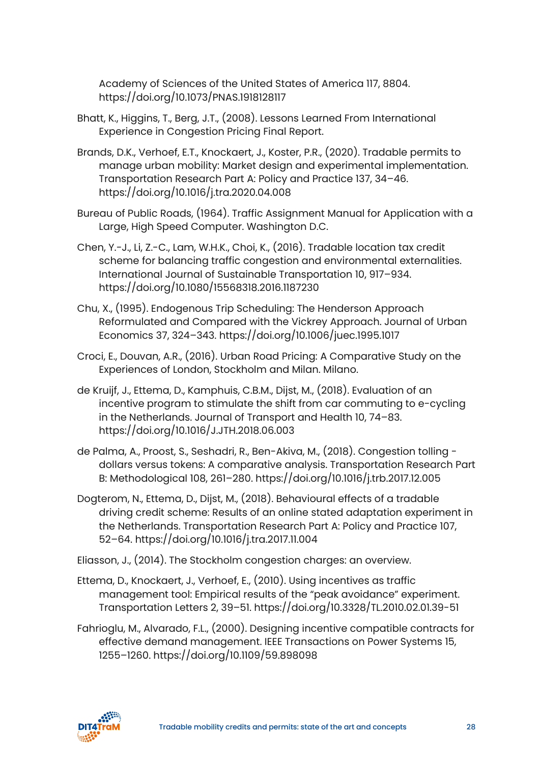Academy of Sciences of the United States of America 117, 8804. https://doi.org/10.1073/PNAS.1918128117

- Bhatt, K., Higgins, T., Berg, J.T., (2008). Lessons Learned From International Experience in Congestion Pricing Final Report.
- Brands, D.K., Verhoef, E.T., Knockaert, J., Koster, P.R., (2020). Tradable permits to manage urban mobility: Market design and experimental implementation. Transportation Research Part A: Policy and Practice 137, 34–46. https://doi.org/10.1016/j.tra.2020.04.008
- Bureau of Public Roads, (1964). Traffic Assignment Manual for Application with a Large, High Speed Computer. Washington D.C.
- Chen, Y.-J., Li, Z.-C., Lam, W.H.K., Choi, K., (2016). Tradable location tax credit scheme for balancing traffic congestion and environmental externalities. International Journal of Sustainable Transportation 10, 917–934. https://doi.org/10.1080/15568318.2016.1187230
- Chu, X., (1995). Endogenous Trip Scheduling: The Henderson Approach Reformulated and Compared with the Vickrey Approach. Journal of Urban Economics 37, 324–343. https://doi.org/10.1006/juec.1995.1017
- Croci, E., Douvan, A.R., (2016). Urban Road Pricing: A Comparative Study on the Experiences of London, Stockholm and Milan. Milano.
- de Kruijf, J., Ettema, D., Kamphuis, C.B.M., Dijst, M., (2018). Evaluation of an incentive program to stimulate the shift from car commuting to e-cycling in the Netherlands. Journal of Transport and Health 10, 74–83. https://doi.org/10.1016/J.JTH.2018.06.003
- de Palma, A., Proost, S., Seshadri, R., Ben-Akiva, M., (2018). Congestion tolling dollars versus tokens: A comparative analysis. Transportation Research Part B: Methodological 108, 261–280. https://doi.org/10.1016/j.trb.2017.12.005
- Dogterom, N., Ettema, D., Dijst, M., (2018). Behavioural effects of a tradable driving credit scheme: Results of an online stated adaptation experiment in the Netherlands. Transportation Research Part A: Policy and Practice 107, 52–64. https://doi.org/10.1016/j.tra.2017.11.004

Eliasson, J., (2014). The Stockholm congestion charges: an overview.

- Ettema, D., Knockaert, J., Verhoef, E., (2010). Using incentives as traffic management tool: Empirical results of the "peak avoidance" experiment. Transportation Letters 2, 39–51. https://doi.org/10.3328/TL.2010.02.01.39-51
- Fahrioglu, M., Alvarado, F.L., (2000). Designing incentive compatible contracts for effective demand management. IEEE Transactions on Power Systems 15, 1255–1260. https://doi.org/10.1109/59.898098

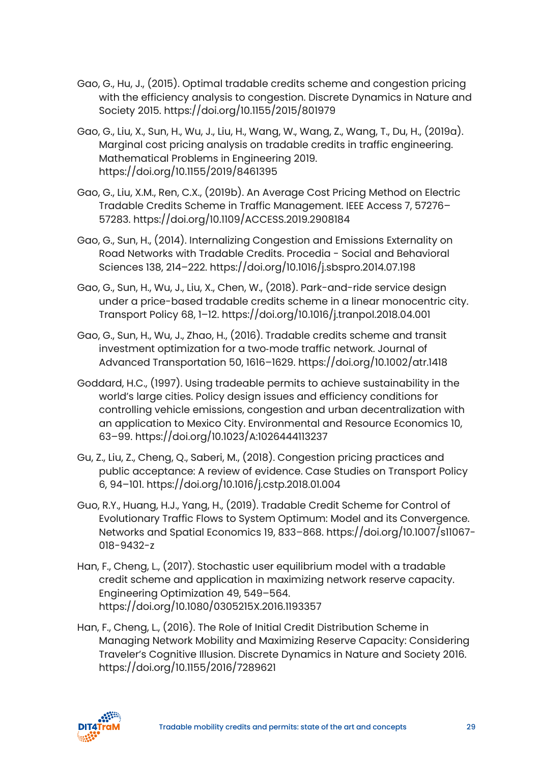- Gao, G., Hu, J., (2015). Optimal tradable credits scheme and congestion pricing with the efficiency analysis to congestion. Discrete Dynamics in Nature and Society 2015. https://doi.org/10.1155/2015/801979
- Gao, G., Liu, X., Sun, H., Wu, J., Liu, H., Wang, W., Wang, Z., Wang, T., Du, H., (2019a). Marginal cost pricing analysis on tradable credits in traffic engineering. Mathematical Problems in Engineering 2019. https://doi.org/10.1155/2019/8461395
- Gao, G., Liu, X.M., Ren, C.X., (2019b). An Average Cost Pricing Method on Electric Tradable Credits Scheme in Traffic Management. IEEE Access 7, 57276– 57283. https://doi.org/10.1109/ACCESS.2019.2908184
- Gao, G., Sun, H., (2014). Internalizing Congestion and Emissions Externality on Road Networks with Tradable Credits. Procedia - Social and Behavioral Sciences 138, 214–222. https://doi.org/10.1016/j.sbspro.2014.07.198
- Gao, G., Sun, H., Wu, J., Liu, X., Chen, W., (2018). Park-and-ride service design under a price-based tradable credits scheme in a linear monocentric city. Transport Policy 68, 1–12. https://doi.org/10.1016/j.tranpol.2018.04.001
- Gao, G., Sun, H., Wu, J., Zhao, H., (2016). Tradable credits scheme and transit investment optimization for a two‐mode traffic network. Journal of Advanced Transportation 50, 1616–1629. https://doi.org/10.1002/atr.1418
- Goddard, H.C., (1997). Using tradeable permits to achieve sustainability in the world's large cities. Policy design issues and efficiency conditions for controlling vehicle emissions, congestion and urban decentralization with an application to Mexico City. Environmental and Resource Economics 10, 63–99. https://doi.org/10.1023/A:1026444113237
- Gu, Z., Liu, Z., Cheng, Q., Saberi, M., (2018). Congestion pricing practices and public acceptance: A review of evidence. Case Studies on Transport Policy 6, 94–101. https://doi.org/10.1016/j.cstp.2018.01.004
- Guo, R.Y., Huang, H.J., Yang, H., (2019). Tradable Credit Scheme for Control of Evolutionary Traffic Flows to System Optimum: Model and its Convergence. Networks and Spatial Economics 19, 833–868. https://doi.org/10.1007/s11067- 018-9432-z
- Han, F., Cheng, L., (2017). Stochastic user equilibrium model with a tradable credit scheme and application in maximizing network reserve capacity. Engineering Optimization 49, 549–564. https://doi.org/10.1080/0305215X.2016.1193357
- Han, F., Cheng, L., (2016). The Role of Initial Credit Distribution Scheme in Managing Network Mobility and Maximizing Reserve Capacity: Considering Traveler's Cognitive Illusion. Discrete Dynamics in Nature and Society 2016. https://doi.org/10.1155/2016/7289621

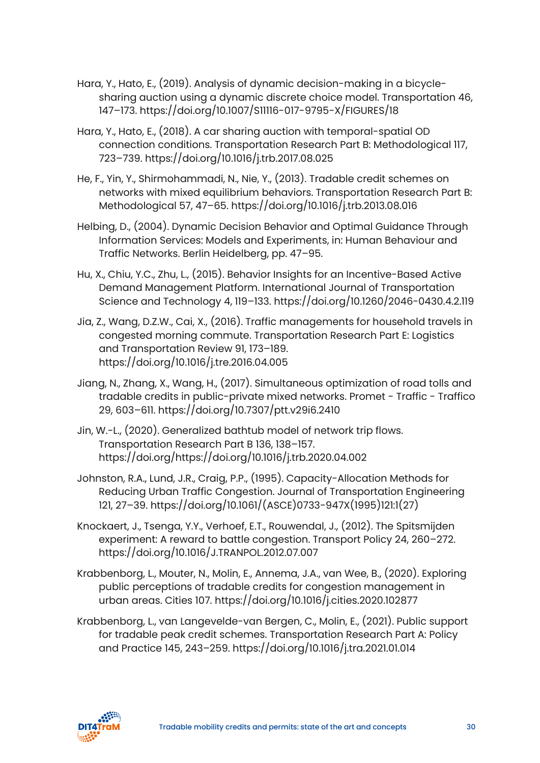- Hara, Y., Hato, E., (2019). Analysis of dynamic decision-making in a bicyclesharing auction using a dynamic discrete choice model. Transportation 46, 147–173. https://doi.org/10.1007/S11116-017-9795-X/FIGURES/18
- Hara, Y., Hato, E., (2018). A car sharing auction with temporal-spatial OD connection conditions. Transportation Research Part B: Methodological 117, 723–739. https://doi.org/10.1016/j.trb.2017.08.025
- He, F., Yin, Y., Shirmohammadi, N., Nie, Y., (2013). Tradable credit schemes on networks with mixed equilibrium behaviors. Transportation Research Part B: Methodological 57, 47–65. https://doi.org/10.1016/j.trb.2013.08.016
- Helbing, D., (2004). Dynamic Decision Behavior and Optimal Guidance Through Information Services: Models and Experiments, in: Human Behaviour and Traffic Networks. Berlin Heidelberg, pp. 47–95.
- Hu, X., Chiu, Y.C., Zhu, L., (2015). Behavior Insights for an Incentive-Based Active Demand Management Platform. International Journal of Transportation Science and Technology 4, 119–133. https://doi.org/10.1260/2046-0430.4.2.119
- Jia, Z., Wang, D.Z.W., Cai, X., (2016). Traffic managements for household travels in congested morning commute. Transportation Research Part E: Logistics and Transportation Review 91, 173–189. https://doi.org/10.1016/j.tre.2016.04.005
- Jiang, N., Zhang, X., Wang, H., (2017). Simultaneous optimization of road tolls and tradable credits in public-private mixed networks. Promet - Traffic - Traffico 29, 603–611. https://doi.org/10.7307/ptt.v29i6.2410
- Jin, W.-L., (2020). Generalized bathtub model of network trip flows. Transportation Research Part B 136, 138–157. https://doi.org/https://doi.org/10.1016/j.trb.2020.04.002
- Johnston, R.A., Lund, J.R., Craig, P.P., (1995). Capacity-Allocation Methods for Reducing Urban Traffic Congestion. Journal of Transportation Engineering 121, 27–39. https://doi.org/10.1061/(ASCE)0733-947X(1995)121:1(27)
- Knockaert, J., Tsenga, Y.Y., Verhoef, E.T., Rouwendal, J., (2012). The Spitsmijden experiment: A reward to battle congestion. Transport Policy 24, 260–272. https://doi.org/10.1016/J.TRANPOL.2012.07.007
- Krabbenborg, L., Mouter, N., Molin, E., Annema, J.A., van Wee, B., (2020). Exploring public perceptions of tradable credits for congestion management in urban areas. Cities 107. https://doi.org/10.1016/j.cities.2020.102877
- Krabbenborg, L., van Langevelde-van Bergen, C., Molin, E., (2021). Public support for tradable peak credit schemes. Transportation Research Part A: Policy and Practice 145, 243–259. https://doi.org/10.1016/j.tra.2021.01.014

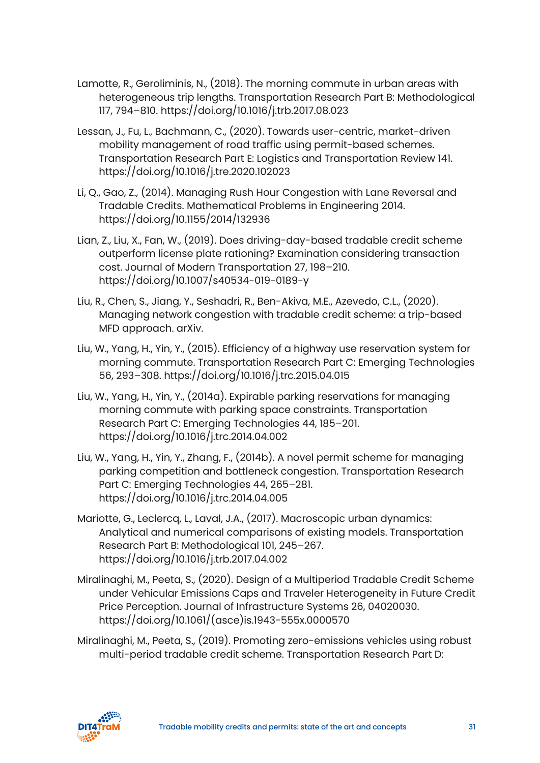- Lamotte, R., Geroliminis, N., (2018). The morning commute in urban areas with heterogeneous trip lengths. Transportation Research Part B: Methodological 117, 794–810. https://doi.org/10.1016/j.trb.2017.08.023
- Lessan, J., Fu, L., Bachmann, C., (2020). Towards user-centric, market-driven mobility management of road traffic using permit-based schemes. Transportation Research Part E: Logistics and Transportation Review 141. https://doi.org/10.1016/j.tre.2020.102023
- Li, Q., Gao, Z., (2014). Managing Rush Hour Congestion with Lane Reversal and Tradable Credits. Mathematical Problems in Engineering 2014. https://doi.org/10.1155/2014/132936
- Lian, Z., Liu, X., Fan, W., (2019). Does driving-day-based tradable credit scheme outperform license plate rationing? Examination considering transaction cost. Journal of Modern Transportation 27, 198–210. https://doi.org/10.1007/s40534-019-0189-y
- Liu, R., Chen, S., Jiang, Y., Seshadri, R., Ben-Akiva, M.E., Azevedo, C.L., (2020). Managing network congestion with tradable credit scheme: a trip-based MFD approach. arXiv.
- Liu, W., Yang, H., Yin, Y., (2015). Efficiency of a highway use reservation system for morning commute. Transportation Research Part C: Emerging Technologies 56, 293–308. https://doi.org/10.1016/j.trc.2015.04.015
- Liu, W., Yang, H., Yin, Y., (2014a). Expirable parking reservations for managing morning commute with parking space constraints. Transportation Research Part C: Emerging Technologies 44, 185–201. https://doi.org/10.1016/j.trc.2014.04.002
- Liu, W., Yang, H., Yin, Y., Zhang, F., (2014b). A novel permit scheme for managing parking competition and bottleneck congestion. Transportation Research Part C: Emerging Technologies 44, 265–281. https://doi.org/10.1016/j.trc.2014.04.005
- Mariotte, G., Leclercq, L., Laval, J.A., (2017). Macroscopic urban dynamics: Analytical and numerical comparisons of existing models. Transportation Research Part B: Methodological 101, 245–267. https://doi.org/10.1016/j.trb.2017.04.002
- Miralinaghi, M., Peeta, S., (2020). Design of a Multiperiod Tradable Credit Scheme under Vehicular Emissions Caps and Traveler Heterogeneity in Future Credit Price Perception. Journal of Infrastructure Systems 26, 04020030. https://doi.org/10.1061/(asce)is.1943-555x.0000570
- Miralinaghi, M., Peeta, S., (2019). Promoting zero-emissions vehicles using robust multi-period tradable credit scheme. Transportation Research Part D:

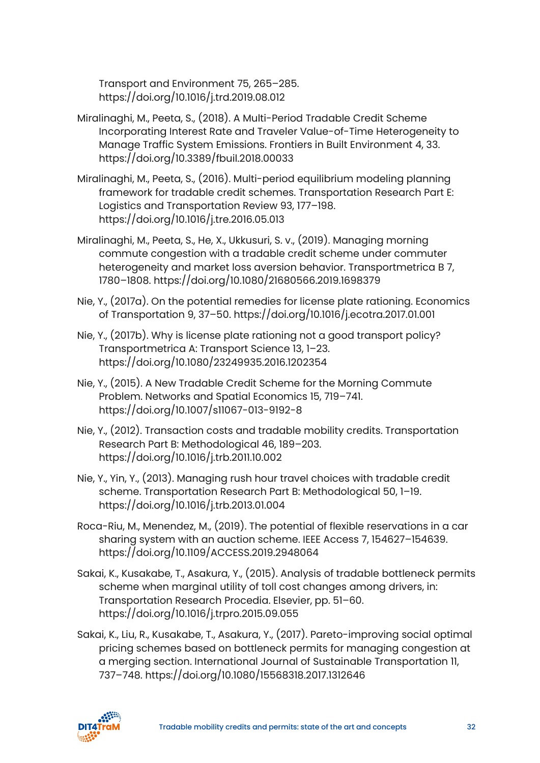Transport and Environment 75, 265–285. https://doi.org/10.1016/j.trd.2019.08.012

- Miralinaghi, M., Peeta, S., (2018). A Multi-Period Tradable Credit Scheme Incorporating Interest Rate and Traveler Value-of-Time Heterogeneity to Manage Traffic System Emissions. Frontiers in Built Environment 4, 33. https://doi.org/10.3389/fbuil.2018.00033
- Miralinaghi, M., Peeta, S., (2016). Multi-period equilibrium modeling planning framework for tradable credit schemes. Transportation Research Part E: Logistics and Transportation Review 93, 177–198. https://doi.org/10.1016/j.tre.2016.05.013
- Miralinaghi, M., Peeta, S., He, X., Ukkusuri, S. v., (2019). Managing morning commute congestion with a tradable credit scheme under commuter heterogeneity and market loss aversion behavior. Transportmetrica B 7, 1780–1808. https://doi.org/10.1080/21680566.2019.1698379
- Nie, Y., (2017a). On the potential remedies for license plate rationing. Economics of Transportation 9, 37–50. https://doi.org/10.1016/j.ecotra.2017.01.001
- Nie, Y., (2017b). Why is license plate rationing not a good transport policy? Transportmetrica A: Transport Science 13, 1–23. https://doi.org/10.1080/23249935.2016.1202354
- Nie, Y., (2015). A New Tradable Credit Scheme for the Morning Commute Problem. Networks and Spatial Economics 15, 719–741. https://doi.org/10.1007/s11067-013-9192-8
- Nie, Y., (2012). Transaction costs and tradable mobility credits. Transportation Research Part B: Methodological 46, 189–203. https://doi.org/10.1016/j.trb.2011.10.002
- Nie, Y., Yin, Y., (2013). Managing rush hour travel choices with tradable credit scheme. Transportation Research Part B: Methodological 50, 1–19. https://doi.org/10.1016/j.trb.2013.01.004
- Roca-Riu, M., Menendez, M., (2019). The potential of flexible reservations in a car sharing system with an auction scheme. IEEE Access 7, 154627–154639. https://doi.org/10.1109/ACCESS.2019.2948064
- Sakai, K., Kusakabe, T., Asakura, Y., (2015). Analysis of tradable bottleneck permits scheme when marginal utility of toll cost changes among drivers, in: Transportation Research Procedia. Elsevier, pp. 51–60. https://doi.org/10.1016/j.trpro.2015.09.055
- Sakai, K., Liu, R., Kusakabe, T., Asakura, Y., (2017). Pareto-improving social optimal pricing schemes based on bottleneck permits for managing congestion at a merging section. International Journal of Sustainable Transportation 11, 737–748. https://doi.org/10.1080/15568318.2017.1312646

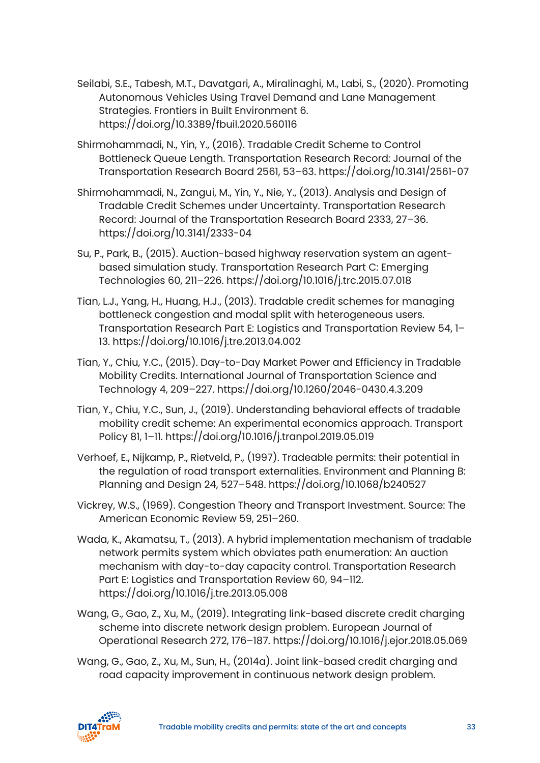- Seilabi, S.E., Tabesh, M.T., Davatgari, A., Miralinaghi, M., Labi, S., (2020). Promoting Autonomous Vehicles Using Travel Demand and Lane Management Strategies. Frontiers in Built Environment 6. https://doi.org/10.3389/fbuil.2020.560116
- Shirmohammadi, N., Yin, Y., (2016). Tradable Credit Scheme to Control Bottleneck Queue Length. Transportation Research Record: Journal of the Transportation Research Board 2561, 53–63. https://doi.org/10.3141/2561-07
- Shirmohammadi, N., Zangui, M., Yin, Y., Nie, Y., (2013). Analysis and Design of Tradable Credit Schemes under Uncertainty. Transportation Research Record: Journal of the Transportation Research Board 2333, 27–36. https://doi.org/10.3141/2333-04
- Su, P., Park, B., (2015). Auction-based highway reservation system an agentbased simulation study. Transportation Research Part C: Emerging Technologies 60, 211–226. https://doi.org/10.1016/j.trc.2015.07.018
- Tian, L.J., Yang, H., Huang, H.J., (2013). Tradable credit schemes for managing bottleneck congestion and modal split with heterogeneous users. Transportation Research Part E: Logistics and Transportation Review 54, 1– 13. https://doi.org/10.1016/j.tre.2013.04.002
- Tian, Y., Chiu, Y.C., (2015). Day-to-Day Market Power and Efficiency in Tradable Mobility Credits. International Journal of Transportation Science and Technology 4, 209–227. https://doi.org/10.1260/2046-0430.4.3.209
- Tian, Y., Chiu, Y.C., Sun, J., (2019). Understanding behavioral effects of tradable mobility credit scheme: An experimental economics approach. Transport Policy 81, 1–11. https://doi.org/10.1016/j.tranpol.2019.05.019
- Verhoef, E., Nijkamp, P., Rietveld, P., (1997). Tradeable permits: their potential in the regulation of road transport externalities. Environment and Planning B: Planning and Design 24, 527–548. https://doi.org/10.1068/b240527
- Vickrey, W.S., (1969). Congestion Theory and Transport Investment. Source: The American Economic Review 59, 251–260.
- Wada, K., Akamatsu, T., (2013). A hybrid implementation mechanism of tradable network permits system which obviates path enumeration: An auction mechanism with day-to-day capacity control. Transportation Research Part E: Logistics and Transportation Review 60, 94–112. https://doi.org/10.1016/j.tre.2013.05.008
- Wang, G., Gao, Z., Xu, M., (2019). Integrating link-based discrete credit charging scheme into discrete network design problem. European Journal of Operational Research 272, 176–187. https://doi.org/10.1016/j.ejor.2018.05.069
- Wang, G., Gao, Z., Xu, M., Sun, H., (2014a). Joint link-based credit charging and road capacity improvement in continuous network design problem.

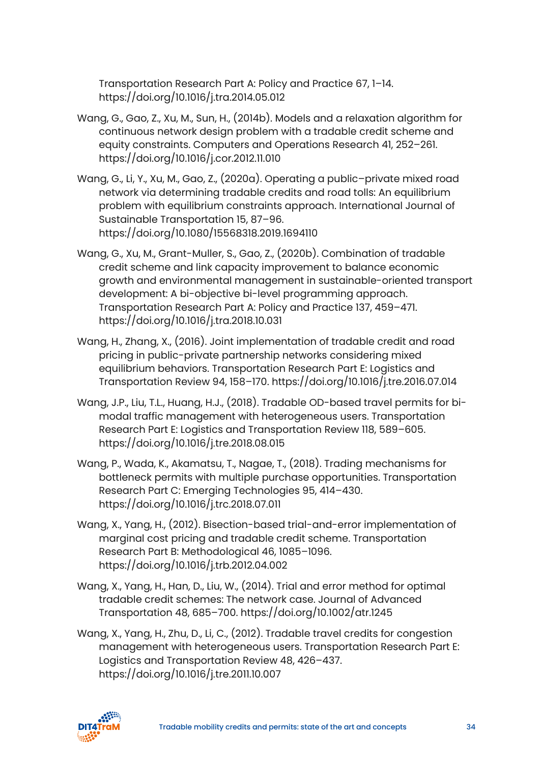Transportation Research Part A: Policy and Practice 67, 1–14. https://doi.org/10.1016/j.tra.2014.05.012

- Wang, G., Gao, Z., Xu, M., Sun, H., (2014b). Models and a relaxation algorithm for continuous network design problem with a tradable credit scheme and equity constraints. Computers and Operations Research 41, 252–261. https://doi.org/10.1016/j.cor.2012.11.010
- Wang, G., Li, Y., Xu, M., Gao, Z., (2020a). Operating a public–private mixed road network via determining tradable credits and road tolls: An equilibrium problem with equilibrium constraints approach. International Journal of Sustainable Transportation 15, 87–96. https://doi.org/10.1080/15568318.2019.1694110
- Wang, G., Xu, M., Grant-Muller, S., Gao, Z., (2020b). Combination of tradable credit scheme and link capacity improvement to balance economic growth and environmental management in sustainable-oriented transport development: A bi-objective bi-level programming approach. Transportation Research Part A: Policy and Practice 137, 459–471. https://doi.org/10.1016/j.tra.2018.10.031
- Wang, H., Zhang, X., (2016). Joint implementation of tradable credit and road pricing in public-private partnership networks considering mixed equilibrium behaviors. Transportation Research Part E: Logistics and Transportation Review 94, 158–170. https://doi.org/10.1016/j.tre.2016.07.014
- Wang, J.P., Liu, T.L., Huang, H.J., (2018). Tradable OD-based travel permits for bimodal traffic management with heterogeneous users. Transportation Research Part E: Logistics and Transportation Review 118, 589–605. https://doi.org/10.1016/j.tre.2018.08.015
- Wang, P., Wada, K., Akamatsu, T., Nagae, T., (2018). Trading mechanisms for bottleneck permits with multiple purchase opportunities. Transportation Research Part C: Emerging Technologies 95, 414–430. https://doi.org/10.1016/j.trc.2018.07.011
- Wang, X., Yang, H., (2012). Bisection-based trial-and-error implementation of marginal cost pricing and tradable credit scheme. Transportation Research Part B: Methodological 46, 1085–1096. https://doi.org/10.1016/j.trb.2012.04.002
- Wang, X., Yang, H., Han, D., Liu, W., (2014). Trial and error method for optimal tradable credit schemes: The network case. Journal of Advanced Transportation 48, 685–700. https://doi.org/10.1002/atr.1245
- Wang, X., Yang, H., Zhu, D., Li, C., (2012). Tradable travel credits for congestion management with heterogeneous users. Transportation Research Part E: Logistics and Transportation Review 48, 426–437. https://doi.org/10.1016/j.tre.2011.10.007

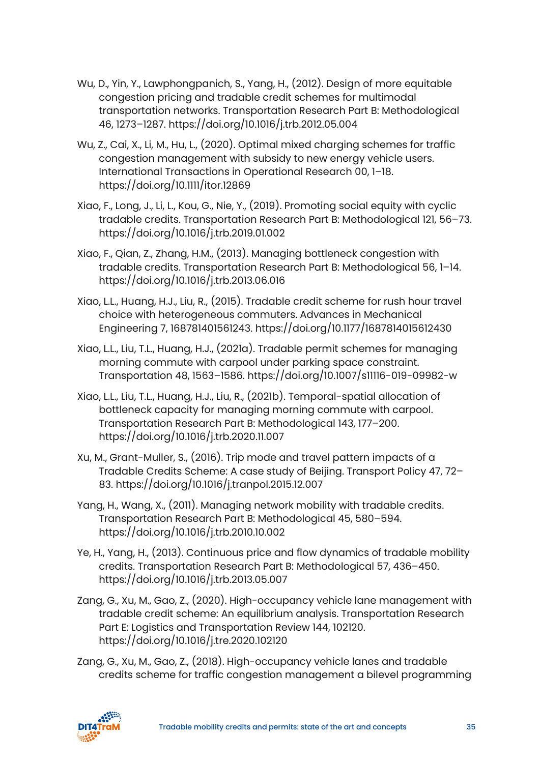- Wu, D., Yin, Y., Lawphongpanich, S., Yang, H., (2012). Design of more equitable congestion pricing and tradable credit schemes for multimodal transportation networks. Transportation Research Part B: Methodological 46, 1273–1287. https://doi.org/10.1016/j.trb.2012.05.004
- Wu, Z., Cai, X., Li, M., Hu, L., (2020). Optimal mixed charging schemes for traffic congestion management with subsidy to new energy vehicle users. International Transactions in Operational Research 00, 1–18. https://doi.org/10.1111/itor.12869
- Xiao, F., Long, J., Li, L., Kou, G., Nie, Y., (2019). Promoting social equity with cyclic tradable credits. Transportation Research Part B: Methodological 121, 56–73. https://doi.org/10.1016/j.trb.2019.01.002
- Xiao, F., Qian, Z., Zhang, H.M., (2013). Managing bottleneck congestion with tradable credits. Transportation Research Part B: Methodological 56, 1–14. https://doi.org/10.1016/j.trb.2013.06.016
- Xiao, L.L., Huang, H.J., Liu, R., (2015). Tradable credit scheme for rush hour travel choice with heterogeneous commuters. Advances in Mechanical Engineering 7, 168781401561243. https://doi.org/10.1177/1687814015612430
- Xiao, L.L., Liu, T.L., Huang, H.J., (2021a). Tradable permit schemes for managing morning commute with carpool under parking space constraint. Transportation 48, 1563–1586. https://doi.org/10.1007/s11116-019-09982-w
- Xiao, L.L., Liu, T.L., Huang, H.J., Liu, R., (2021b). Temporal-spatial allocation of bottleneck capacity for managing morning commute with carpool. Transportation Research Part B: Methodological 143, 177–200. https://doi.org/10.1016/j.trb.2020.11.007
- Xu, M., Grant-Muller, S., (2016). Trip mode and travel pattern impacts of a Tradable Credits Scheme: A case study of Beijing. Transport Policy 47, 72– 83. https://doi.org/10.1016/j.tranpol.2015.12.007
- Yang, H., Wang, X., (2011). Managing network mobility with tradable credits. Transportation Research Part B: Methodological 45, 580–594. https://doi.org/10.1016/j.trb.2010.10.002
- Ye, H., Yang, H., (2013). Continuous price and flow dynamics of tradable mobility credits. Transportation Research Part B: Methodological 57, 436–450. https://doi.org/10.1016/j.trb.2013.05.007
- Zang, G., Xu, M., Gao, Z., (2020). High-occupancy vehicle lane management with tradable credit scheme: An equilibrium analysis. Transportation Research Part E: Logistics and Transportation Review 144, 102120. https://doi.org/10.1016/j.tre.2020.102120
- Zang, G., Xu, M., Gao, Z., (2018). High-occupancy vehicle lanes and tradable credits scheme for traffic congestion management a bilevel programming

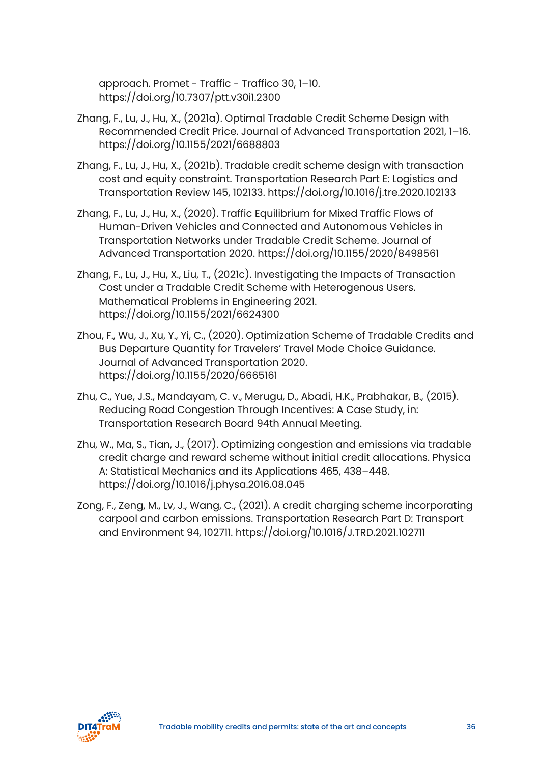approach. Promet - Traffic - Traffico 30, 1–10. https://doi.org/10.7307/ptt.v30i1.2300

- Zhang, F., Lu, J., Hu, X., (2021a). Optimal Tradable Credit Scheme Design with Recommended Credit Price. Journal of Advanced Transportation 2021, 1–16. https://doi.org/10.1155/2021/6688803
- Zhang, F., Lu, J., Hu, X., (2021b). Tradable credit scheme design with transaction cost and equity constraint. Transportation Research Part E: Logistics and Transportation Review 145, 102133. https://doi.org/10.1016/j.tre.2020.102133
- Zhang, F., Lu, J., Hu, X., (2020). Traffic Equilibrium for Mixed Traffic Flows of Human-Driven Vehicles and Connected and Autonomous Vehicles in Transportation Networks under Tradable Credit Scheme. Journal of Advanced Transportation 2020. https://doi.org/10.1155/2020/8498561
- Zhang, F., Lu, J., Hu, X., Liu, T., (2021c). Investigating the Impacts of Transaction Cost under a Tradable Credit Scheme with Heterogenous Users. Mathematical Problems in Engineering 2021. https://doi.org/10.1155/2021/6624300
- Zhou, F., Wu, J., Xu, Y., Yi, C., (2020). Optimization Scheme of Tradable Credits and Bus Departure Quantity for Travelers' Travel Mode Choice Guidance. Journal of Advanced Transportation 2020. https://doi.org/10.1155/2020/6665161
- Zhu, C., Yue, J.S., Mandayam, C. v., Merugu, D., Abadi, H.K., Prabhakar, B., (2015). Reducing Road Congestion Through Incentives: A Case Study, in: Transportation Research Board 94th Annual Meeting.
- Zhu, W., Ma, S., Tian, J., (2017). Optimizing congestion and emissions via tradable credit charge and reward scheme without initial credit allocations. Physica A: Statistical Mechanics and its Applications 465, 438–448. https://doi.org/10.1016/j.physa.2016.08.045
- Zong, F., Zeng, M., Lv, J., Wang, C., (2021). A credit charging scheme incorporating carpool and carbon emissions. Transportation Research Part D: Transport and Environment 94, 102711. https://doi.org/10.1016/J.TRD.2021.102711